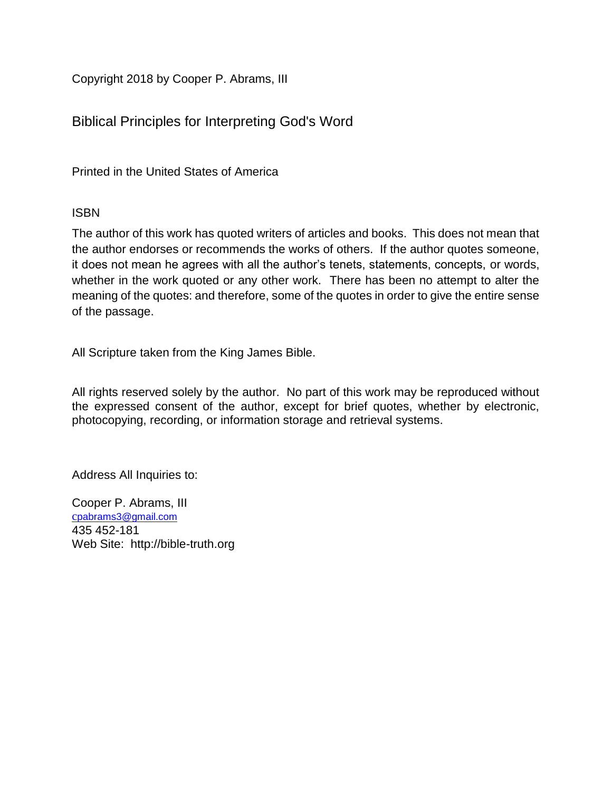Copyright 2018 by Cooper P. Abrams, III

Biblical Principles for Interpreting God's Word

Printed in the United States of America

# ISBN

The author of this work has quoted writers of articles and books. This does not mean that the author endorses or recommends the works of others. If the author quotes someone, it does not mean he agrees with all the author's tenets, statements, concepts, or words, whether in the work quoted or any other work. There has been no attempt to alter the meaning of the quotes: and therefore, some of the quotes in order to give the entire sense of the passage.

All Scripture taken from the King James Bible.

All rights reserved solely by the author. No part of this work may be reproduced without the expressed consent of the author, except for brief quotes, whether by electronic, photocopying, recording, or information storage and retrieval systems.

Address All Inquiries to:

Cooper P. Abrams, III c[pabrams3@gmail.com](mailto:cpabrams3@gmail.com) 435 452-181 Web Site: http://bible-truth.org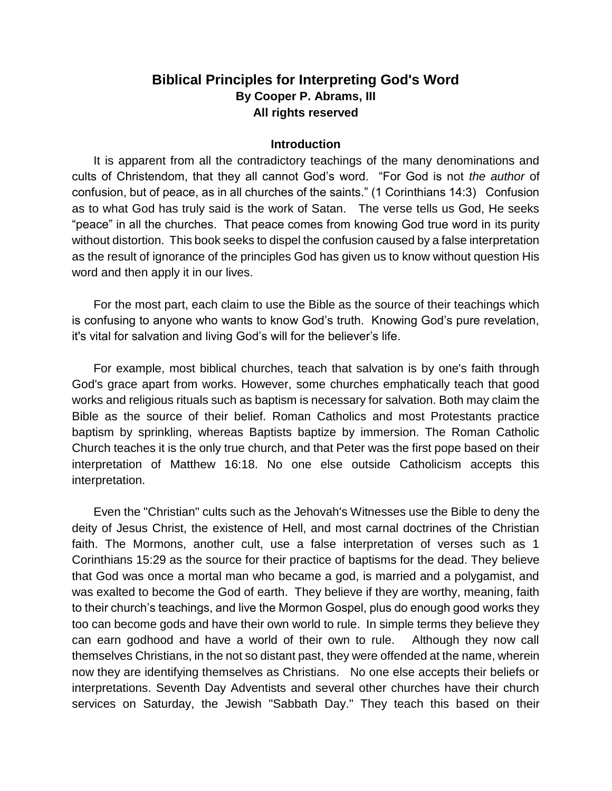# **Biblical Principles for Interpreting God's Word By Cooper P. Abrams, III All rights reserved**

## **Introduction**

It is apparent from all the contradictory teachings of the many denominations and cults of Christendom, that they all cannot God's word. "For God is not *the author* of confusion, but of peace, as in all churches of the saints." (1 Corinthians 14:3) Confusion as to what God has truly said is the work of Satan. The verse tells us God, He seeks "peace" in all the churches. That peace comes from knowing God true word in its purity without distortion. This book seeks to dispel the confusion caused by a false interpretation as the result of ignorance of the principles God has given us to know without question His word and then apply it in our lives.

For the most part, each claim to use the Bible as the source of their teachings which is confusing to anyone who wants to know God's truth. Knowing God's pure revelation, it's vital for salvation and living God's will for the believer's life.

For example, most biblical churches, teach that salvation is by one's faith through God's grace apart from works. However, some churches emphatically teach that good works and religious rituals such as baptism is necessary for salvation. Both may claim the Bible as the source of their belief. Roman Catholics and most Protestants practice baptism by sprinkling, whereas Baptists baptize by immersion. The Roman Catholic Church teaches it is the only true church, and that Peter was the first pope based on their interpretation of Matthew 16:18. No one else outside Catholicism accepts this interpretation.

Even the "Christian" cults such as the Jehovah's Witnesses use the Bible to deny the deity of Jesus Christ, the existence of Hell, and most carnal doctrines of the Christian faith. The Mormons, another cult, use a false interpretation of verses such as 1 Corinthians 15:29 as the source for their practice of baptisms for the dead. They believe that God was once a mortal man who became a god, is married and a polygamist, and was exalted to become the God of earth. They believe if they are worthy, meaning, faith to their church's teachings, and live the Mormon Gospel, plus do enough good works they too can become gods and have their own world to rule. In simple terms they believe they can earn godhood and have a world of their own to rule. Although they now call themselves Christians, in the not so distant past, they were offended at the name, wherein now they are identifying themselves as Christians. No one else accepts their beliefs or interpretations. Seventh Day Adventists and several other churches have their church services on Saturday, the Jewish "Sabbath Day." They teach this based on their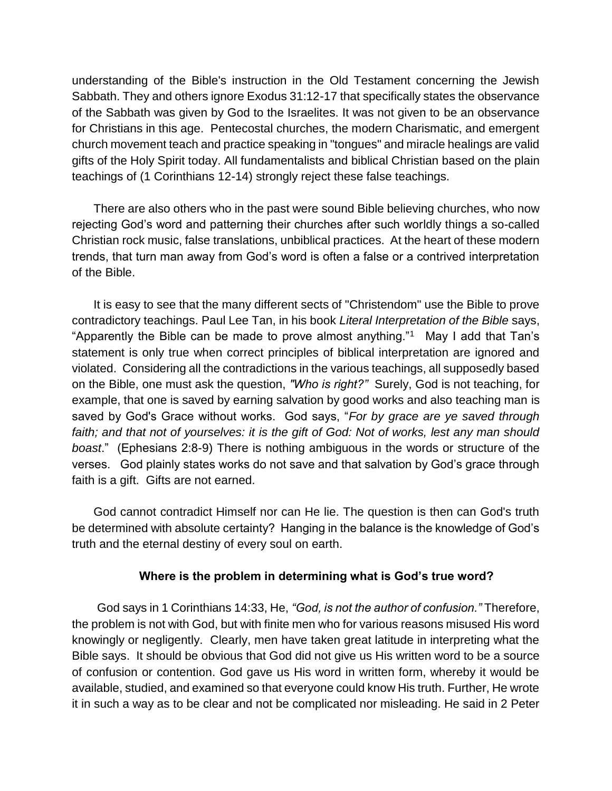understanding of the Bible's instruction in the Old Testament concerning the Jewish Sabbath. They and others ignore Exodus 31:12-17 that specifically states the observance of the Sabbath was given by God to the Israelites. It was not given to be an observance for Christians in this age. Pentecostal churches, the modern Charismatic, and emergent church movement teach and practice speaking in "tongues" and miracle healings are valid gifts of the Holy Spirit today. All fundamentalists and biblical Christian based on the plain teachings of (1 Corinthians 12-14) strongly reject these false teachings.

There are also others who in the past were sound Bible believing churches, who now rejecting God's word and patterning their churches after such worldly things a so-called Christian rock music, false translations, unbiblical practices. At the heart of these modern trends, that turn man away from God's word is often a false or a contrived interpretation of the Bible.

It is easy to see that the many different sects of "Christendom" use the Bible to prove contradictory teachings. Paul Lee Tan, in his book *Literal Interpretation of the Bible* says, "Apparently the Bible can be made to prove almost anything."<sup>1</sup> May I add that Tan's statement is only true when correct principles of biblical interpretation are ignored and violated. Considering all the contradictions in the various teachings, all supposedly based on the Bible, one must ask the question, *"Who is right?"* Surely, God is not teaching, for example, that one is saved by earning salvation by good works and also teaching man is saved by God's Grace without works. God says, "*For by grace are ye saved through*  faith; and that not of yourselves: it is the gift of God: Not of works, lest any man should *boast*." (Ephesians 2:8-9) There is nothing ambiguous in the words or structure of the verses. God plainly states works do not save and that salvation by God's grace through faith is a gift. Gifts are not earned.

God cannot contradict Himself nor can He lie. The question is then can God's truth be determined with absolute certainty? Hanging in the balance is the knowledge of God's truth and the eternal destiny of every soul on earth.

### **Where is the problem in determining what is God's true word?**

God says in 1 Corinthians 14:33, He, *"God, is not the author of confusion."* Therefore, the problem is not with God, but with finite men who for various reasons misused His word knowingly or negligently. Clearly, men have taken great latitude in interpreting what the Bible says. It should be obvious that God did not give us His written word to be a source of confusion or contention. God gave us His word in written form, whereby it would be available, studied, and examined so that everyone could know His truth. Further, He wrote it in such a way as to be clear and not be complicated nor misleading. He said in 2 Peter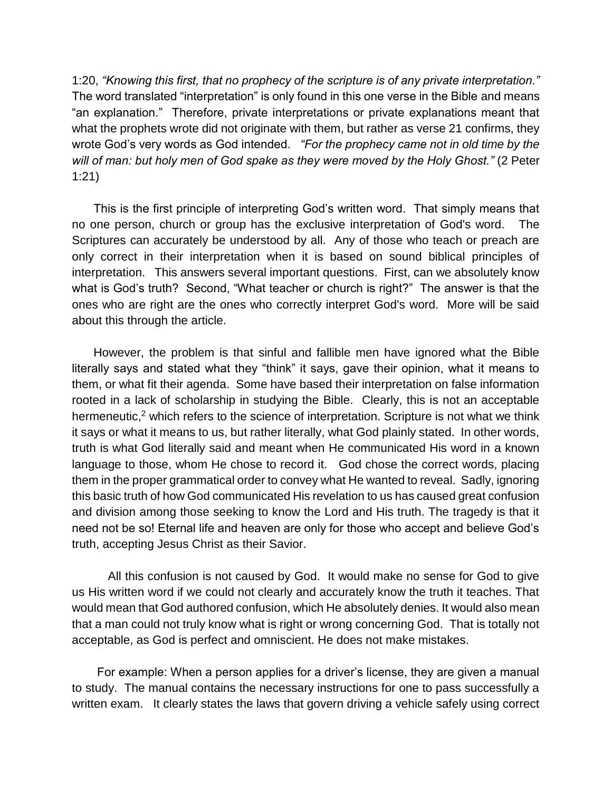1:20, *"Knowing this first, that no prophecy of the scripture is of any private interpretation."* The word translated "interpretation" is only found in this one verse in the Bible and means "an explanation." Therefore, private interpretations or private explanations meant that what the prophets wrote did not originate with them, but rather as verse 21 confirms, they wrote God's very words as God intended. *"For the prophecy came not in old time by the will of man: but holy men of God spake as they were moved by the Holy Ghost."* (2 Peter 1:21)

This is the first principle of interpreting God's written word. That simply means that no one person, church or group has the exclusive interpretation of God's word. The Scriptures can accurately be understood by all. Any of those who teach or preach are only correct in their interpretation when it is based on sound biblical principles of interpretation. This answers several important questions. First, can we absolutely know what is God's truth? Second, "What teacher or church is right?" The answer is that the ones who are right are the ones who correctly interpret God's word. More will be said about this through the article.

However, the problem is that sinful and fallible men have ignored what the Bible literally says and stated what they "think" it says, gave their opinion, what it means to them, or what fit their agenda. Some have based their interpretation on false information rooted in a lack of scholarship in studying the Bible. Clearly, this is not an acceptable hermeneutic,<sup>2</sup> which refers to the science of interpretation. Scripture is not what we think it says or what it means to us, but rather literally, what God plainly stated. In other words, truth is what God literally said and meant when He communicated His word in a known language to those, whom He chose to record it. God chose the correct words, placing them in the proper grammatical order to convey what He wanted to reveal. Sadly, ignoring this basic truth of how God communicated His revelation to us has caused great confusion and division among those seeking to know the Lord and His truth. The tragedy is that it need not be so! Eternal life and heaven are only for those who accept and believe God's truth, accepting Jesus Christ as their Savior.

All this confusion is not caused by God. It would make no sense for God to give us His written word if we could not clearly and accurately know the truth it teaches. That would mean that God authored confusion, which He absolutely denies. It would also mean that a man could not truly know what is right or wrong concerning God. That is totally not acceptable, as God is perfect and omniscient. He does not make mistakes.

For example: When a person applies for a driver's license, they are given a manual to study. The manual contains the necessary instructions for one to pass successfully a written exam. It clearly states the laws that govern driving a vehicle safely using correct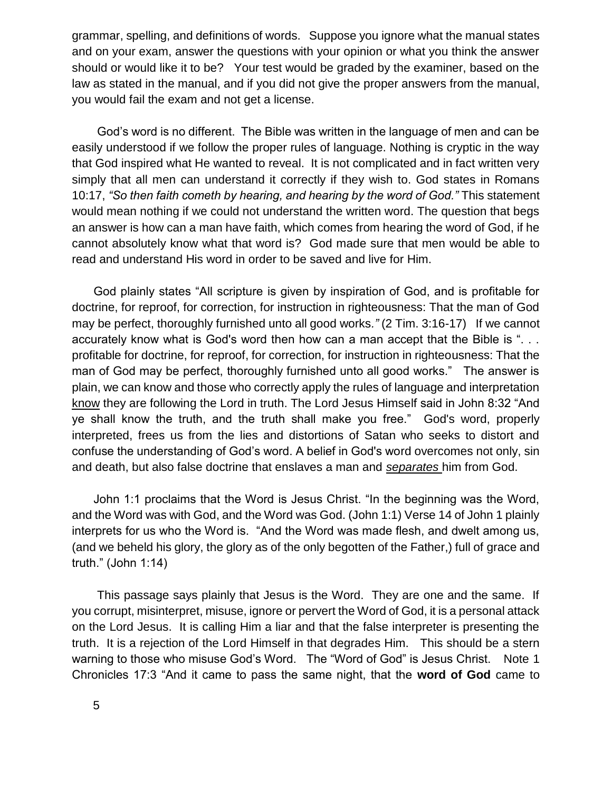grammar, spelling, and definitions of words. Suppose you ignore what the manual states and on your exam, answer the questions with your opinion or what you think the answer should or would like it to be? Your test would be graded by the examiner, based on the law as stated in the manual, and if you did not give the proper answers from the manual, you would fail the exam and not get a license.

God's word is no different. The Bible was written in the language of men and can be easily understood if we follow the proper rules of language. Nothing is cryptic in the way that God inspired what He wanted to reveal. It is not complicated and in fact written very simply that all men can understand it correctly if they wish to. God states in Romans 10:17, *"So then faith cometh by hearing, and hearing by the word of God."* This statement would mean nothing if we could not understand the written word. The question that begs an answer is how can a man have faith, which comes from hearing the word of God, if he cannot absolutely know what that word is? God made sure that men would be able to read and understand His word in order to be saved and live for Him.

God plainly states "All scripture is given by inspiration of God, and is profitable for doctrine, for reproof, for correction, for instruction in righteousness: That the man of God may be perfect, thoroughly furnished unto all good works*."* (2 Tim. 3:16-17) If we cannot accurately know what is God's word then how can a man accept that the Bible is ". . . profitable for doctrine, for reproof, for correction, for instruction in righteousness: That the man of God may be perfect, thoroughly furnished unto all good works." The answer is plain, we can know and those who correctly apply the rules of language and interpretation know they are following the Lord in truth. The Lord Jesus Himself said in John 8:32 "And ye shall know the truth, and the truth shall make you free." God's word, properly interpreted, frees us from the lies and distortions of Satan who seeks to distort and confuse the understanding of God's word. A belief in God's word overcomes not only, sin and death, but also false doctrine that enslaves a man and *separates* him from God.

John 1:1 proclaims that the Word is Jesus Christ. "In the beginning was the Word, and the Word was with God, and the Word was God. (John 1:1) Verse 14 of John 1 plainly interprets for us who the Word is. "And the Word was made flesh, and dwelt among us, (and we beheld his glory, the glory as of the only begotten of the Father,) full of grace and truth." (John 1:14)

This passage says plainly that Jesus is the Word. They are one and the same. If you corrupt, misinterpret, misuse, ignore or pervert the Word of God, it is a personal attack on the Lord Jesus. It is calling Him a liar and that the false interpreter is presenting the truth. It is a rejection of the Lord Himself in that degrades Him. This should be a stern warning to those who misuse God's Word. The "Word of God" is Jesus Christ. Note 1 Chronicles 17:3 "And it came to pass the same night, that the **word of God** came to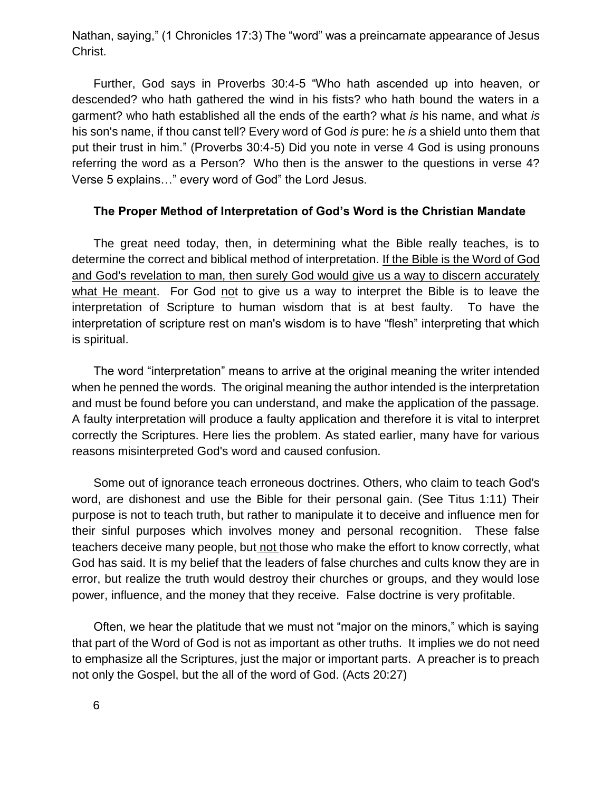Nathan, saying," (1 Chronicles 17:3) The "word" was a preincarnate appearance of Jesus Christ.

Further, God says in Proverbs 30:4-5 "Who hath ascended up into heaven, or descended? who hath gathered the wind in his fists? who hath bound the waters in a garment? who hath established all the ends of the earth? what *is* his name, and what *is* his son's name, if thou canst tell? Every word of God *is* pure: he *is* a shield unto them that put their trust in him." (Proverbs 30:4-5) Did you note in verse 4 God is using pronouns referring the word as a Person? Who then is the answer to the questions in verse 4? Verse 5 explains…" every word of God" the Lord Jesus.

### **The Proper Method of Interpretation of God's Word is the Christian Mandate**

The great need today, then, in determining what the Bible really teaches, is to determine the correct and biblical method of interpretation. If the Bible is the Word of God and God's revelation to man, then surely God would give us a way to discern accurately what He meant. For God not to give us a way to interpret the Bible is to leave the interpretation of Scripture to human wisdom that is at best faulty. To have the interpretation of scripture rest on man's wisdom is to have "flesh" interpreting that which is spiritual.

The word "interpretation" means to arrive at the original meaning the writer intended when he penned the words. The original meaning the author intended is the interpretation and must be found before you can understand, and make the application of the passage. A faulty interpretation will produce a faulty application and therefore it is vital to interpret correctly the Scriptures. Here lies the problem. As stated earlier, many have for various reasons misinterpreted God's word and caused confusion.

Some out of ignorance teach erroneous doctrines. Others, who claim to teach God's word, are dishonest and use the Bible for their personal gain. (See Titus 1:11) Their purpose is not to teach truth, but rather to manipulate it to deceive and influence men for their sinful purposes which involves money and personal recognition. These false teachers deceive many people, but not those who make the effort to know correctly, what God has said. It is my belief that the leaders of false churches and cults know they are in error, but realize the truth would destroy their churches or groups, and they would lose power, influence, and the money that they receive. False doctrine is very profitable.

Often, we hear the platitude that we must not "major on the minors," which is saying that part of the Word of God is not as important as other truths. It implies we do not need to emphasize all the Scriptures, just the major or important parts. A preacher is to preach not only the Gospel, but the all of the word of God. (Acts 20:27)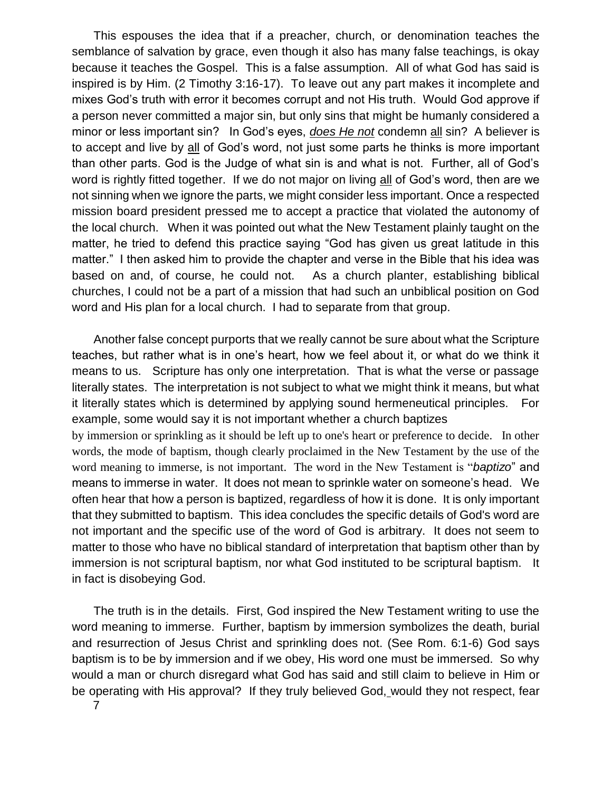This espouses the idea that if a preacher, church, or denomination teaches the semblance of salvation by grace, even though it also has many false teachings, is okay because it teaches the Gospel. This is a false assumption. All of what God has said is inspired is by Him. (2 Timothy 3:16-17). To leave out any part makes it incomplete and mixes God's truth with error it becomes corrupt and not His truth. Would God approve if a person never committed a major sin, but only sins that might be humanly considered a minor or less important sin? In God's eyes, *does He not* condemn all sin? A believer is to accept and live by all of God's word, not just some parts he thinks is more important than other parts. God is the Judge of what sin is and what is not. Further, all of God's word is rightly fitted together. If we do not major on living all of God's word, then are we not sinning when we ignore the parts, we might consider less important. Once a respected mission board president pressed me to accept a practice that violated the autonomy of the local church. When it was pointed out what the New Testament plainly taught on the matter, he tried to defend this practice saying "God has given us great latitude in this matter." I then asked him to provide the chapter and verse in the Bible that his idea was based on and, of course, he could not. As a church planter, establishing biblical churches, I could not be a part of a mission that had such an unbiblical position on God word and His plan for a local church. I had to separate from that group.

Another false concept purports that we really cannot be sure about what the Scripture teaches, but rather what is in one's heart, how we feel about it, or what do we think it means to us. Scripture has only one interpretation. That is what the verse or passage literally states. The interpretation is not subject to what we might think it means, but what it literally states which is determined by applying sound hermeneutical principles. For example, some would say it is not important whether a church baptizes by immersion or sprinkling as it should be left up to one's heart or preference to decide. In other words, the mode of baptism, though clearly proclaimed in the New Testament by the use of the word meaning to immerse, is not important. The word in the New Testament is "*baptizo*" and means to immerse in water. It does not mean to sprinkle water on someone's head. We often hear that how a person is baptized, regardless of how it is done. It is only important that they submitted to baptism. This idea concludes the specific details of God's word are not important and the specific use of the word of God is arbitrary. It does not seem to matter to those who have no biblical standard of interpretation that baptism other than by immersion is not scriptural baptism, nor what God instituted to be scriptural baptism. It in fact is disobeying God.

7 The truth is in the details. First, God inspired the New Testament writing to use the word meaning to immerse. Further, baptism by immersion symbolizes the death, burial and resurrection of Jesus Christ and sprinkling does not. (See Rom. 6:1-6) God says baptism is to be by immersion and if we obey, His word one must be immersed. So why would a man or church disregard what God has said and still claim to believe in Him or be operating with His approval? If they truly believed God, would they not respect, fear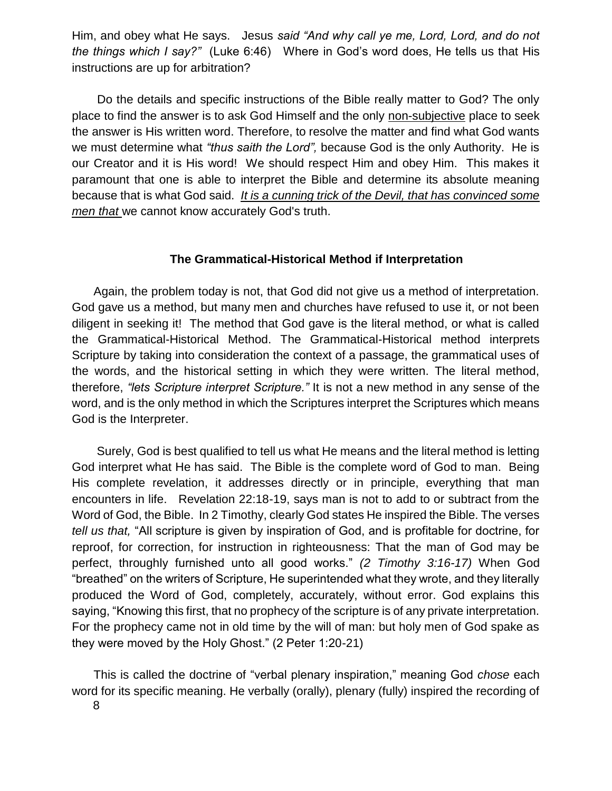Him, and obey what He says. Jesus *said "And why call ye me, Lord, Lord, and do not the things which I say?"* (Luke 6:46) Where in God's word does, He tells us that His instructions are up for arbitration?

Do the details and specific instructions of the Bible really matter to God? The only place to find the answer is to ask God Himself and the only non-subjective place to seek the answer is His written word. Therefore, to resolve the matter and find what God wants we must determine what *"thus saith the Lord",* because God is the only Authority. He is our Creator and it is His word! We should respect Him and obey Him. This makes it paramount that one is able to interpret the Bible and determine its absolute meaning because that is what God said. *It is a cunning trick of the Devil, that has convinced some men that* we cannot know accurately God's truth.

# **The Grammatical-Historical Method if Interpretation**

Again, the problem today is not, that God did not give us a method of interpretation. God gave us a method, but many men and churches have refused to use it, or not been diligent in seeking it! The method that God gave is the literal method, or what is called the Grammatical-Historical Method. The Grammatical-Historical method interprets Scripture by taking into consideration the context of a passage, the grammatical uses of the words, and the historical setting in which they were written. The literal method, therefore, *"lets Scripture interpret Scripture."* It is not a new method in any sense of the word, and is the only method in which the Scriptures interpret the Scriptures which means God is the Interpreter.

Surely, God is best qualified to tell us what He means and the literal method is letting God interpret what He has said. The Bible is the complete word of God to man. Being His complete revelation, it addresses directly or in principle, everything that man encounters in life. Revelation 22:18-19, says man is not to add to or subtract from the Word of God, the Bible. In 2 Timothy, clearly God states He inspired the Bible. The verses *tell us that,* "All scripture is given by inspiration of God, and is profitable for doctrine, for reproof, for correction, for instruction in righteousness: That the man of God may be perfect, throughly furnished unto all good works." *(2 Timothy 3:16-17)* When God "breathed" on the writers of Scripture, He superintended what they wrote, and they literally produced the Word of God, completely, accurately, without error. God explains this saying, "Knowing this first, that no prophecy of the scripture is of any private interpretation. For the prophecy came not in old time by the will of man: but holy men of God spake as they were moved by the Holy Ghost." (2 Peter 1:20-21)

This is called the doctrine of "verbal plenary inspiration," meaning God *chose* each word for its specific meaning. He verbally (orally), plenary (fully) inspired the recording of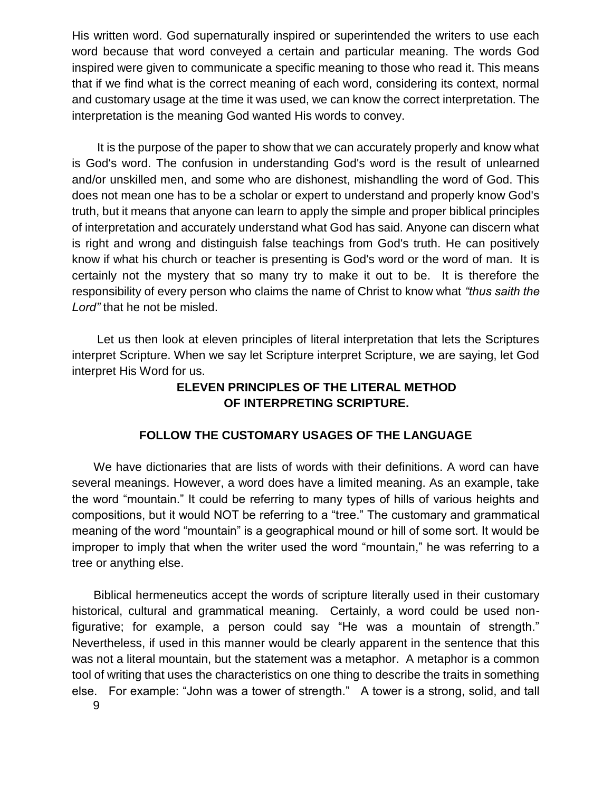His written word. God supernaturally inspired or superintended the writers to use each word because that word conveyed a certain and particular meaning. The words God inspired were given to communicate a specific meaning to those who read it. This means that if we find what is the correct meaning of each word, considering its context, normal and customary usage at the time it was used, we can know the correct interpretation. The interpretation is the meaning God wanted His words to convey.

It is the purpose of the paper to show that we can accurately properly and know what is God's word. The confusion in understanding God's word is the result of unlearned and/or unskilled men, and some who are dishonest, mishandling the word of God. This does not mean one has to be a scholar or expert to understand and properly know God's truth, but it means that anyone can learn to apply the simple and proper biblical principles of interpretation and accurately understand what God has said. Anyone can discern what is right and wrong and distinguish false teachings from God's truth. He can positively know if what his church or teacher is presenting is God's word or the word of man. It is certainly not the mystery that so many try to make it out to be. It is therefore the responsibility of every person who claims the name of Christ to know what *"thus saith the Lord"* that he not be misled.

Let us then look at eleven principles of literal interpretation that lets the Scriptures interpret Scripture. When we say let Scripture interpret Scripture, we are saying, let God interpret His Word for us.

# **ELEVEN PRINCIPLES OF THE LITERAL METHOD OF INTERPRETING SCRIPTURE.**

# **FOLLOW THE CUSTOMARY USAGES OF THE LANGUAGE**

We have dictionaries that are lists of words with their definitions. A word can have several meanings. However, a word does have a limited meaning. As an example, take the word "mountain." It could be referring to many types of hills of various heights and compositions, but it would NOT be referring to a "tree." The customary and grammatical meaning of the word "mountain" is a geographical mound or hill of some sort. It would be improper to imply that when the writer used the word "mountain," he was referring to a tree or anything else.

9 Biblical hermeneutics accept the words of scripture literally used in their customary historical, cultural and grammatical meaning. Certainly, a word could be used nonfigurative; for example, a person could say "He was a mountain of strength." Nevertheless, if used in this manner would be clearly apparent in the sentence that this was not a literal mountain, but the statement was a metaphor. A metaphor is a common tool of writing that uses the characteristics on one thing to describe the traits in something else. For example: "John was a tower of strength." A tower is a strong, solid, and tall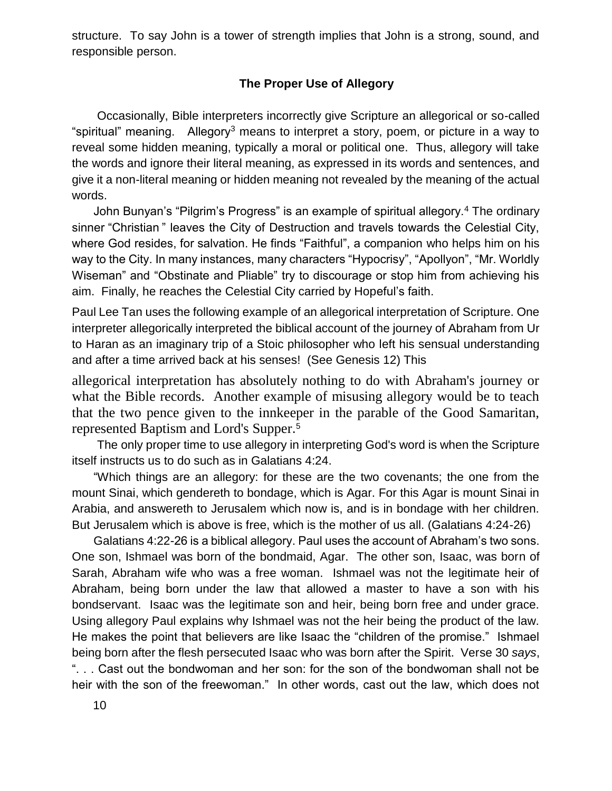structure. To say John is a tower of strength implies that John is a strong, sound, and responsible person.

## **The Proper Use of Allegory**

Occasionally, Bible interpreters incorrectly give Scripture an allegorical or so-called "spiritual" meaning. Allegory<sup>3</sup> means to interpret a story, poem, or picture in a way to reveal some hidden meaning, typically a moral or political one. Thus, allegory will take the words and ignore their literal meaning, as expressed in its words and sentences, and give it a non-literal meaning or hidden meaning not revealed by the meaning of the actual words.

John Bunyan's "Pilgrim's Progress" is an example of spiritual allegory.<sup>4</sup> The ordinary sinner "Christian " leaves the City of Destruction and travels towards the Celestial City, where God resides, for salvation. He finds "Faithful", a companion who helps him on his way to the City. In many instances, many characters "Hypocrisy", "Apollyon", "Mr. Worldly Wiseman" and "Obstinate and Pliable" try to discourage or stop him from achieving his aim. Finally, he reaches the Celestial City carried by Hopeful's faith.

Paul Lee Tan uses the following example of an allegorical interpretation of Scripture. One interpreter allegorically interpreted the biblical account of the journey of Abraham from Ur to Haran as an imaginary trip of a Stoic philosopher who left his sensual understanding and after a time arrived back at his senses! (See Genesis 12) This

allegorical interpretation has absolutely nothing to do with Abraham's journey or what the Bible records. Another example of misusing allegory would be to teach that the two pence given to the innkeeper in the parable of the Good Samaritan, represented Baptism and Lord's Supper. 5

The only proper time to use allegory in interpreting God's word is when the Scripture itself instructs us to do such as in Galatians 4:24.

"Which things are an allegory: for these are the two covenants; the one from the mount Sinai, which gendereth to bondage, which is Agar. For this Agar is mount Sinai in Arabia, and answereth to Jerusalem which now is, and is in bondage with her children. But Jerusalem which is above is free, which is the mother of us all. (Galatians 4:24-26)

Galatians 4:22-26 is a biblical allegory. Paul uses the account of Abraham's two sons. One son, Ishmael was born of the bondmaid, Agar. The other son, Isaac, was born of Sarah, Abraham wife who was a free woman. Ishmael was not the legitimate heir of Abraham, being born under the law that allowed a master to have a son with his bondservant. Isaac was the legitimate son and heir, being born free and under grace. Using allegory Paul explains why Ishmael was not the heir being the product of the law. He makes the point that believers are like Isaac the "children of the promise." Ishmael being born after the flesh persecuted Isaac who was born after the Spirit. Verse 30 *says*, ". . . Cast out the bondwoman and her son: for the son of the bondwoman shall not be heir with the son of the freewoman." In other words, cast out the law, which does not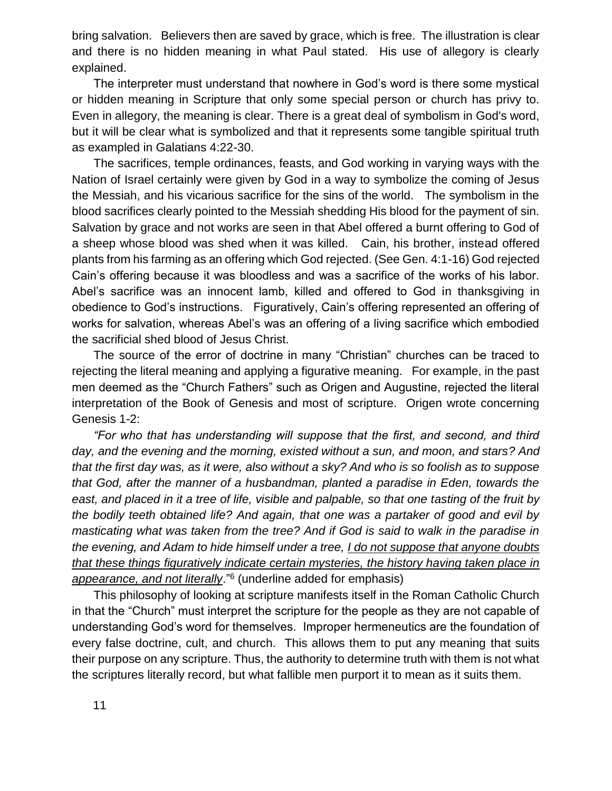bring salvation. Believers then are saved by grace, which is free. The illustration is clear and there is no hidden meaning in what Paul stated. His use of allegory is clearly explained.

The interpreter must understand that nowhere in God's word is there some mystical or hidden meaning in Scripture that only some special person or church has privy to. Even in allegory, the meaning is clear. There is a great deal of symbolism in God's word, but it will be clear what is symbolized and that it represents some tangible spiritual truth as exampled in Galatians 4:22-30.

The sacrifices, temple ordinances, feasts, and God working in varying ways with the Nation of Israel certainly were given by God in a way to symbolize the coming of Jesus the Messiah, and his vicarious sacrifice for the sins of the world. The symbolism in the blood sacrifices clearly pointed to the Messiah shedding His blood for the payment of sin. Salvation by grace and not works are seen in that Abel offered a burnt offering to God of a sheep whose blood was shed when it was killed. Cain, his brother, instead offered plants from his farming as an offering which God rejected. (See Gen. 4:1-16) God rejected Cain's offering because it was bloodless and was a sacrifice of the works of his labor. Abel's sacrifice was an innocent lamb, killed and offered to God in thanksgiving in obedience to God's instructions. Figuratively, Cain's offering represented an offering of works for salvation, whereas Abel's was an offering of a living sacrifice which embodied the sacrificial shed blood of Jesus Christ.

The source of the error of doctrine in many "Christian" churches can be traced to rejecting the literal meaning and applying a figurative meaning. For example, in the past men deemed as the "Church Fathers" such as Origen and Augustine, rejected the literal interpretation of the Book of Genesis and most of scripture. Origen wrote concerning Genesis 1-2:

*"For who that has understanding will suppose that the first, and second, and third day, and the evening and the morning, existed without a sun, and moon, and stars? And that the first day was, as it were, also without a sky? And who is so foolish as to suppose that God, after the manner of a husbandman, planted a paradise in Eden, towards the east, and placed in it a tree of life, visible and palpable, so that one tasting of the fruit by the bodily teeth obtained life? And again, that one was a partaker of good and evil by masticating what was taken from the tree? And if God is said to walk in the paradise in the evening, and Adam to hide himself under a tree, I do not suppose that anyone doubts that these things figuratively indicate certain mysteries, the history having taken place in appearance, and not literally*."<sup>6</sup> (underline added for emphasis)

This philosophy of looking at scripture manifests itself in the Roman Catholic Church in that the "Church" must interpret the scripture for the people as they are not capable of understanding God's word for themselves. Improper hermeneutics are the foundation of every false doctrine, cult, and church. This allows them to put any meaning that suits their purpose on any scripture. Thus, the authority to determine truth with them is not what the scriptures literally record, but what fallible men purport it to mean as it suits them.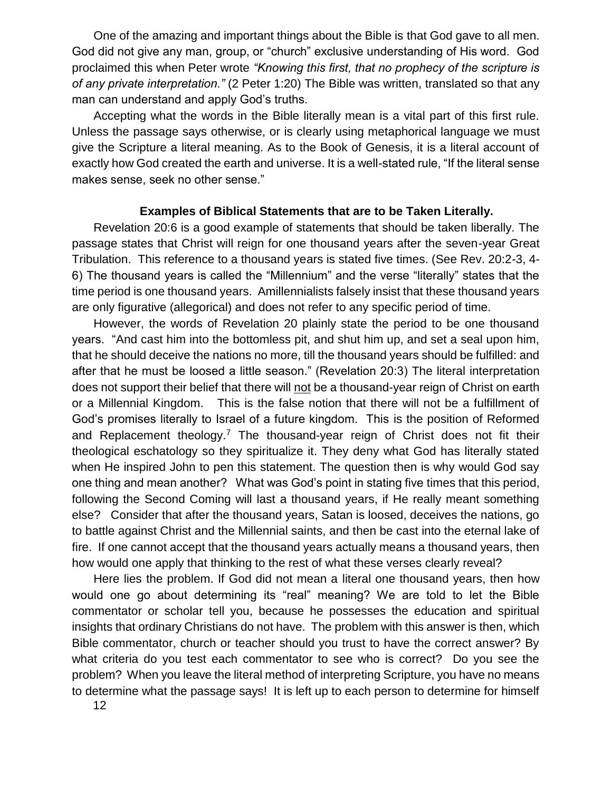One of the amazing and important things about the Bible is that God gave to all men. God did not give any man, group, or "church" exclusive understanding of His word. God proclaimed this when Peter wrote *"Knowing this first, that no prophecy of the scripture is of any private interpretation."* (2 Peter 1:20) The Bible was written, translated so that any man can understand and apply God's truths.

Accepting what the words in the Bible literally mean is a vital part of this first rule. Unless the passage says otherwise, or is clearly using metaphorical language we must give the Scripture a literal meaning. As to the Book of Genesis, it is a literal account of exactly how God created the earth and universe. It is a well-stated rule, "If the literal sense makes sense, seek no other sense."

### **Examples of Biblical Statements that are to be Taken Literally.**

Revelation 20:6 is a good example of statements that should be taken liberally. The passage states that Christ will reign for one thousand years after the seven-year Great Tribulation. This reference to a thousand years is stated five times. (See Rev. 20:2-3, 4- 6) The thousand years is called the "Millennium" and the verse "literally" states that the time period is one thousand years. Amillennialists falsely insist that these thousand years are only figurative (allegorical) and does not refer to any specific period of time.

However, the words of Revelation 20 plainly state the period to be one thousand years. "And cast him into the bottomless pit, and shut him up, and set a seal upon him, that he should deceive the nations no more, till the thousand years should be fulfilled: and after that he must be loosed a little season." (Revelation 20:3) The literal interpretation does not support their belief that there will not be a thousand-year reign of Christ on earth or a Millennial Kingdom. This is the false notion that there will not be a fulfillment of God's promises literally to Israel of a future kingdom. This is the position of Reformed and Replacement theology.<sup>7</sup> The thousand-year reign of Christ does not fit their theological eschatology so they spiritualize it. They deny what God has literally stated when He inspired John to pen this statement. The question then is why would God say one thing and mean another? What was God's point in stating five times that this period, following the Second Coming will last a thousand years, if He really meant something else? Consider that after the thousand years, Satan is loosed, deceives the nations, go to battle against Christ and the Millennial saints, and then be cast into the eternal lake of fire. If one cannot accept that the thousand years actually means a thousand years, then how would one apply that thinking to the rest of what these verses clearly reveal?

Here lies the problem. If God did not mean a literal one thousand years, then how would one go about determining its "real" meaning? We are told to let the Bible commentator or scholar tell you, because he possesses the education and spiritual insights that ordinary Christians do not have. The problem with this answer is then, which Bible commentator, church or teacher should you trust to have the correct answer? By what criteria do you test each commentator to see who is correct? Do you see the problem? When you leave the literal method of interpreting Scripture, you have no means to determine what the passage says! It is left up to each person to determine for himself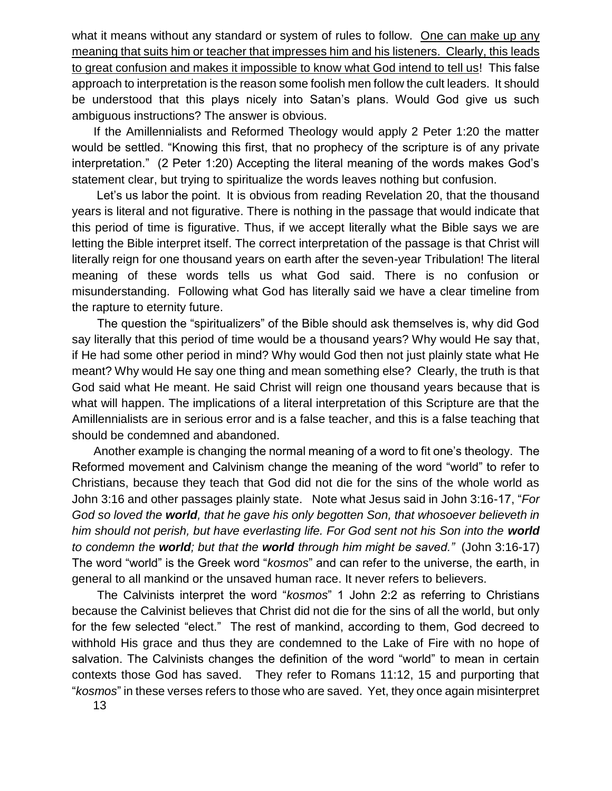what it means without any standard or system of rules to follow. One can make up any meaning that suits him or teacher that impresses him and his listeners. Clearly, this leads to great confusion and makes it impossible to know what God intend to tell us! This false approach to interpretation is the reason some foolish men follow the cult leaders. It should be understood that this plays nicely into Satan's plans. Would God give us such ambiguous instructions? The answer is obvious.

If the Amillennialists and Reformed Theology would apply 2 Peter 1:20 the matter would be settled. "Knowing this first, that no prophecy of the scripture is of any private interpretation." (2 Peter 1:20) Accepting the literal meaning of the words makes God's statement clear, but trying to spiritualize the words leaves nothing but confusion.

Let's us labor the point. It is obvious from reading Revelation 20, that the thousand years is literal and not figurative. There is nothing in the passage that would indicate that this period of time is figurative. Thus, if we accept literally what the Bible says we are letting the Bible interpret itself. The correct interpretation of the passage is that Christ will literally reign for one thousand years on earth after the seven-year Tribulation! The literal meaning of these words tells us what God said. There is no confusion or misunderstanding. Following what God has literally said we have a clear timeline from the rapture to eternity future.

The question the "spiritualizers" of the Bible should ask themselves is, why did God say literally that this period of time would be a thousand years? Why would He say that, if He had some other period in mind? Why would God then not just plainly state what He meant? Why would He say one thing and mean something else? Clearly, the truth is that God said what He meant. He said Christ will reign one thousand years because that is what will happen. The implications of a literal interpretation of this Scripture are that the Amillennialists are in serious error and is a false teacher, and this is a false teaching that should be condemned and abandoned.

Another example is changing the normal meaning of a word to fit one's theology. The Reformed movement and Calvinism change the meaning of the word "world" to refer to Christians, because they teach that God did not die for the sins of the whole world as John 3:16 and other passages plainly state. Note what Jesus said in John 3:16-17, "*For God so loved the world, that he gave his only begotten Son, that whosoever believeth in him should not perish, but have everlasting life. For God sent not his Son into the world to condemn the world; but that the world through him might be saved."* (John 3:16-17) The word "world" is the Greek word "*kosmos*" and can refer to the universe, the earth, in general to all mankind or the unsaved human race. It never refers to believers.

The Calvinists interpret the word "*kosmos*" 1 John 2:2 as referring to Christians because the Calvinist believes that Christ did not die for the sins of all the world, but only for the few selected "elect." The rest of mankind, according to them, God decreed to withhold His grace and thus they are condemned to the Lake of Fire with no hope of salvation. The Calvinists changes the definition of the word "world" to mean in certain contexts those God has saved. They refer to Romans 11:12, 15 and purporting that "*kosmos*" in these verses refers to those who are saved. Yet, they once again misinterpret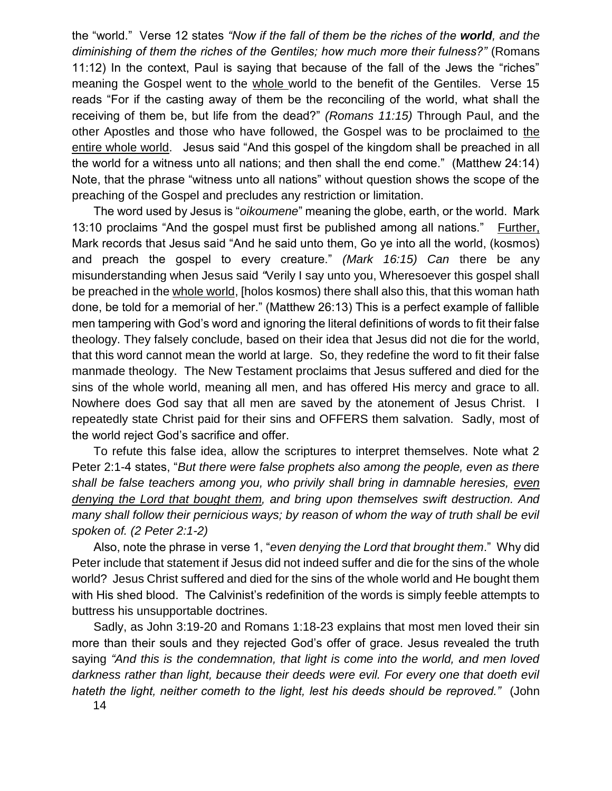the "world." Verse 12 states *"Now if the fall of them be the riches of the world, and the diminishing of them the riches of the Gentiles; how much more their fulness?"* (Romans 11:12) In the context, Paul is saying that because of the fall of the Jews the "riches" meaning the Gospel went to the whole world to the benefit of the Gentiles. Verse 15 reads "For if the casting away of them be the reconciling of the world, what shall the receiving of them be, but life from the dead?" *(Romans 11:15)* Through Paul, and the other Apostles and those who have followed, the Gospel was to be proclaimed to the entire whole world. Jesus said "And this gospel of the kingdom shall be preached in all the world for a witness unto all nations; and then shall the end come." (Matthew 24:14) Note, that the phrase "witness unto all nations" without question shows the scope of the preaching of the Gospel and precludes any restriction or limitation.

The word used by Jesus is "*oikoumene*" meaning the globe, earth, or the world. Mark 13:10 proclaims "And the gospel must first be published among all nations." Further, Mark records that Jesus said "And he said unto them, Go ye into all the world, (kosmos) and preach the gospel to every creature." *(Mark 16:15) Can* there be any misunderstanding when Jesus said *"*Verily I say unto you, Wheresoever this gospel shall be preached in the whole world, [holos kosmos) there shall also this, that this woman hath done, be told for a memorial of her." (Matthew 26:13) This is a perfect example of fallible men tampering with God's word and ignoring the literal definitions of words to fit their false theology. They falsely conclude, based on their idea that Jesus did not die for the world, that this word cannot mean the world at large. So, they redefine the word to fit their false manmade theology. The New Testament proclaims that Jesus suffered and died for the sins of the whole world, meaning all men, and has offered His mercy and grace to all. Nowhere does God say that all men are saved by the atonement of Jesus Christ. I repeatedly state Christ paid for their sins and OFFERS them salvation. Sadly, most of the world reject God's sacrifice and offer.

To refute this false idea, allow the scriptures to interpret themselves. Note what 2 Peter 2:1-4 states, "*But there were false prophets also among the people, even as there shall be false teachers among you, who privily shall bring in damnable heresies, even denying the Lord that bought them, and bring upon themselves swift destruction. And many shall follow their pernicious ways; by reason of whom the way of truth shall be evil spoken of. (2 Peter 2:1-2)* 

Also, note the phrase in verse 1, "*even denying the Lord that brought them*." Why did Peter include that statement if Jesus did not indeed suffer and die for the sins of the whole world? Jesus Christ suffered and died for the sins of the whole world and He bought them with His shed blood. The Calvinist's redefinition of the words is simply feeble attempts to buttress his unsupportable doctrines.

Sadly, as John 3:19-20 and Romans 1:18-23 explains that most men loved their sin more than their souls and they rejected God's offer of grace. Jesus revealed the truth saying *"And this is the condemnation, that light is come into the world, and men loved darkness rather than light, because their deeds were evil. For every one that doeth evil hateth the light, neither cometh to the light, lest his deeds should be reproved."* (John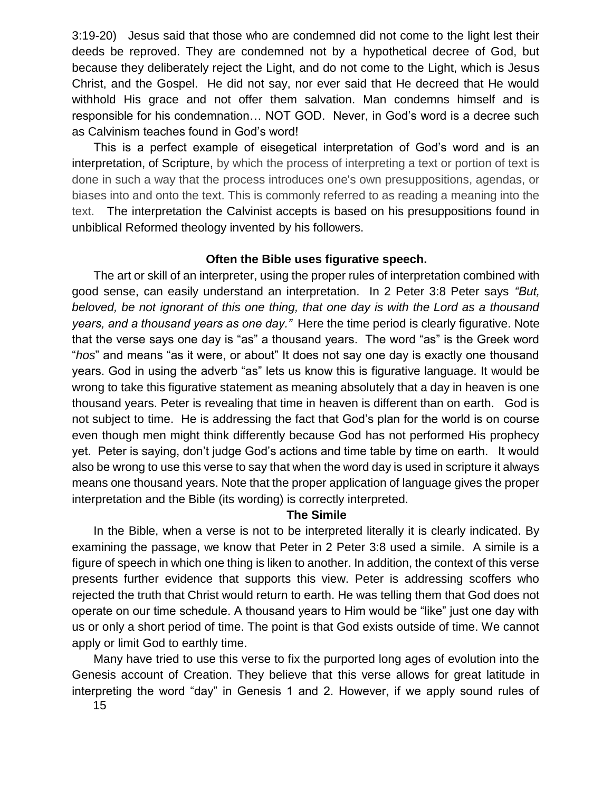3:19-20) Jesus said that those who are condemned did not come to the light lest their deeds be reproved. They are condemned not by a hypothetical decree of God, but because they deliberately reject the Light, and do not come to the Light, which is Jesus Christ, and the Gospel. He did not say, nor ever said that He decreed that He would withhold His grace and not offer them salvation. Man condemns himself and is responsible for his condemnation… NOT GOD. Never, in God's word is a decree such as Calvinism teaches found in God's word!

This is a perfect example of eisegetical interpretation of God's word and is an interpretation, of Scripture, by which the process of interpreting a text or portion of text is done in such a way that the process introduces one's own presuppositions, agendas, or biases into and onto the text. This is commonly referred to as reading a meaning into the text. The interpretation the Calvinist accepts is based on his presuppositions found in unbiblical Reformed theology invented by his followers.

# **Often the Bible uses figurative speech.**

The art or skill of an interpreter, using the proper rules of interpretation combined with good sense, can easily understand an interpretation. In 2 Peter 3:8 Peter says *"But, beloved, be not ignorant of this one thing, that one day is with the Lord as a thousand years, and a thousand years as one day."* Here the time period is clearly figurative. Note that the verse says one day is "as" a thousand years. The word "as" is the Greek word "*hos*" and means "as it were, or about" It does not say one day is exactly one thousand years. God in using the adverb "as" lets us know this is figurative language. It would be wrong to take this figurative statement as meaning absolutely that a day in heaven is one thousand years. Peter is revealing that time in heaven is different than on earth. God is not subject to time. He is addressing the fact that God's plan for the world is on course even though men might think differently because God has not performed His prophecy yet. Peter is saying, don't judge God's actions and time table by time on earth. It would also be wrong to use this verse to say that when the word day is used in scripture it always means one thousand years. Note that the proper application of language gives the proper interpretation and the Bible (its wording) is correctly interpreted.

# **The Simile**

In the Bible, when a verse is not to be interpreted literally it is clearly indicated. By examining the passage, we know that Peter in 2 Peter 3:8 used a simile. A simile is a figure of speech in which one thing is liken to another. In addition, the context of this verse presents further evidence that supports this view. Peter is addressing scoffers who rejected the truth that Christ would return to earth. He was telling them that God does not operate on our time schedule. A thousand years to Him would be "like" just one day with us or only a short period of time. The point is that God exists outside of time. We cannot apply or limit God to earthly time.

Many have tried to use this verse to fix the purported long ages of evolution into the Genesis account of Creation. They believe that this verse allows for great latitude in interpreting the word "day" in Genesis 1 and 2. However, if we apply sound rules of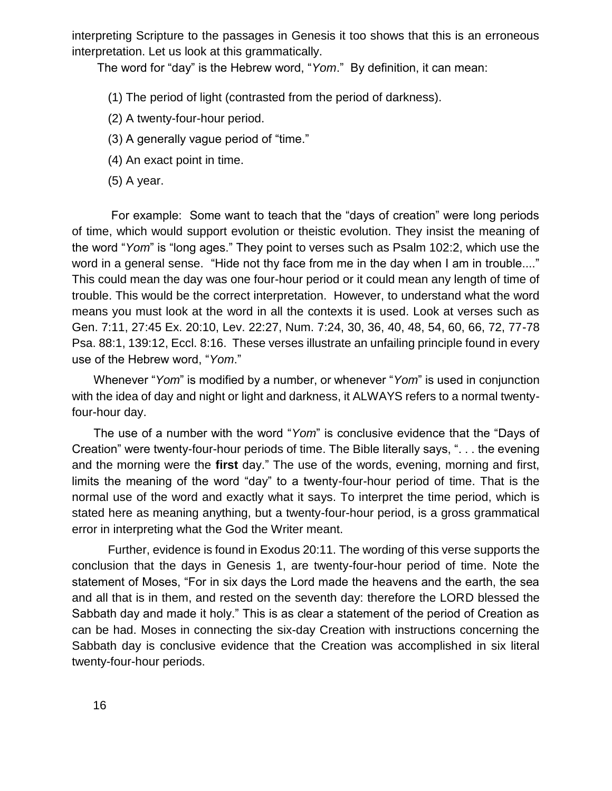interpreting Scripture to the passages in Genesis it too shows that this is an erroneous interpretation. Let us look at this grammatically.

The word for "day" is the Hebrew word, "*Yom*." By definition, it can mean:

(1) The period of light (contrasted from the period of darkness).

- (2) A twenty-four-hour period.
- (3) A generally vague period of "time."
- (4) An exact point in time.
- (5) A year.

For example: Some want to teach that the "days of creation" were long periods of time, which would support evolution or theistic evolution. They insist the meaning of the word "*Yom*" is "long ages." They point to verses such as Psalm 102:2, which use the word in a general sense."Hide not thy face from me in the day when I am in trouble...." This could mean the day was one four-hour period or it could mean any length of time of trouble. This would be the correct interpretation. However, to understand what the word means you must look at the word in all the contexts it is used. Look at verses such as Gen. 7:11, 27:45 Ex. 20:10, Lev. 22:27, Num. 7:24, 30, 36, 40, 48, 54, 60, 66, 72, 77-78 Psa. 88:1, 139:12, Eccl. 8:16. These verses illustrate an unfailing principle found in every use of the Hebrew word, "*Yom*."

Whenever "*Yom*" is modified by a number, or whenever "*Yom*" is used in conjunction with the idea of day and night or light and darkness, it ALWAYS refers to a normal twentyfour-hour day.

The use of a number with the word "*Yom*" is conclusive evidence that the "Days of Creation" were twenty-four-hour periods of time. The Bible literally says, ". . . the evening and the morning were the **first** day." The use of the words, evening, morning and first, limits the meaning of the word "day" to a twenty-four-hour period of time. That is the normal use of the word and exactly what it says. To interpret the time period, which is stated here as meaning anything, but a twenty-four-hour period, is a gross grammatical error in interpreting what the God the Writer meant.

Further, evidence is found in Exodus 20:11. The wording of this verse supports the conclusion that the days in Genesis 1, are twenty-four-hour period of time. Note the statement of Moses, "For in six days the Lord made the heavens and the earth, the sea and all that is in them, and rested on the seventh day: therefore the LORD blessed the Sabbath day and made it holy." This is as clear a statement of the period of Creation as can be had. Moses in connecting the six-day Creation with instructions concerning the Sabbath day is conclusive evidence that the Creation was accomplished in six literal twenty-four-hour periods.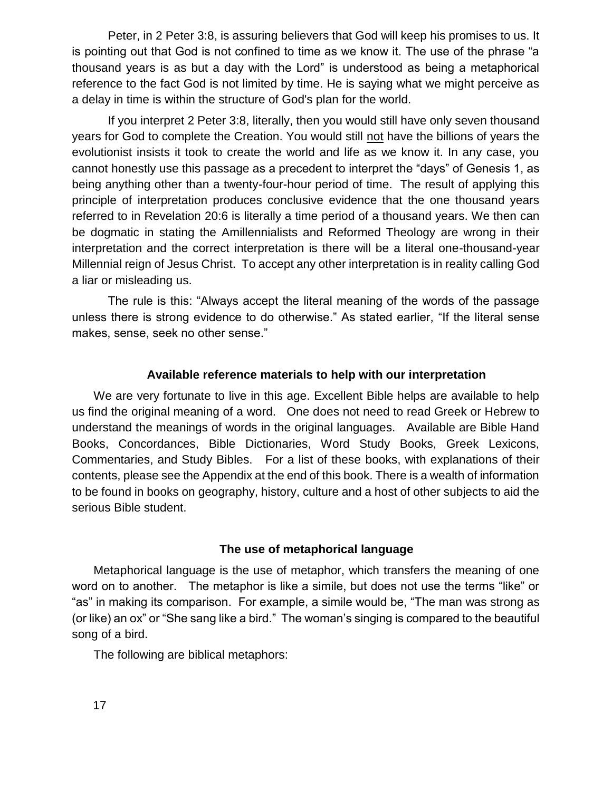Peter, in 2 Peter 3:8, is assuring believers that God will keep his promises to us. It is pointing out that God is not confined to time as we know it. The use of the phrase "a thousand years is as but a day with the Lord" is understood as being a metaphorical reference to the fact God is not limited by time. He is saying what we might perceive as a delay in time is within the structure of God's plan for the world.

If you interpret 2 Peter 3:8, literally, then you would still have only seven thousand years for God to complete the Creation. You would still not have the billions of years the evolutionist insists it took to create the world and life as we know it. In any case, you cannot honestly use this passage as a precedent to interpret the "days" of Genesis 1, as being anything other than a twenty-four-hour period of time. The result of applying this principle of interpretation produces conclusive evidence that the one thousand years referred to in Revelation 20:6 is literally a time period of a thousand years. We then can be dogmatic in stating the Amillennialists and Reformed Theology are wrong in their interpretation and the correct interpretation is there will be a literal one-thousand-year Millennial reign of Jesus Christ. To accept any other interpretation is in reality calling God a liar or misleading us.

The rule is this: "Always accept the literal meaning of the words of the passage unless there is strong evidence to do otherwise." As stated earlier, "If the literal sense makes, sense, seek no other sense."

# **Available reference materials to help with our interpretation**

We are very fortunate to live in this age. Excellent Bible helps are available to help us find the original meaning of a word. One does not need to read Greek or Hebrew to understand the meanings of words in the original languages. Available are Bible Hand Books, Concordances, Bible Dictionaries, Word Study Books, Greek Lexicons, Commentaries, and Study Bibles. For a list of these books, with explanations of their contents, please see the Appendix at the end of this book. There is a wealth of information to be found in books on geography, history, culture and a host of other subjects to aid the serious Bible student.

### **The use of metaphorical language**

Metaphorical language is the use of metaphor, which transfers the meaning of one word on to another. The metaphor is like a simile, but does not use the terms "like" or "as" in making its comparison. For example, a simile would be, "The man was strong as (or like) an ox" or "She sang like a bird." The woman's singing is compared to the beautiful song of a bird.

The following are biblical metaphors: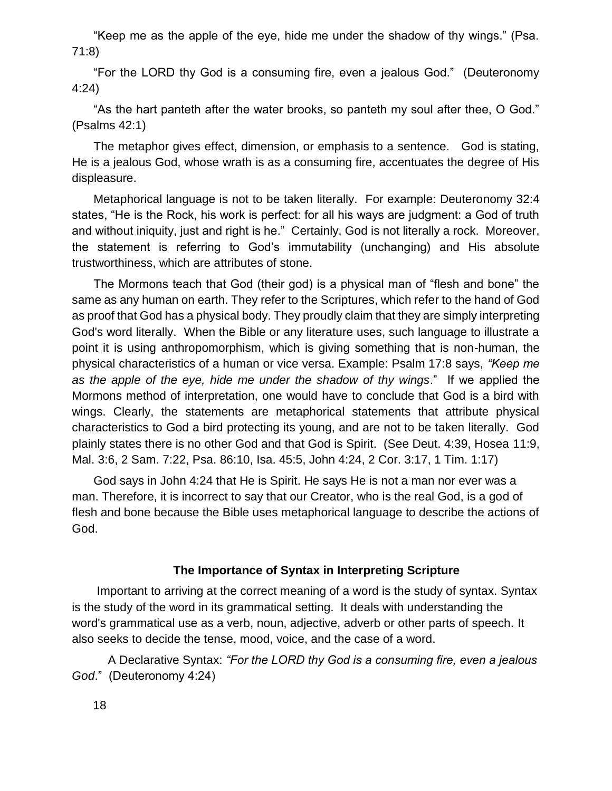"Keep me as the apple of the eye, hide me under the shadow of thy wings." (Psa. 71:8)

"For the LORD thy God is a consuming fire, even a jealous God." (Deuteronomy 4:24)

"As the hart panteth after the water brooks, so panteth my soul after thee, O God." (Psalms 42:1)

The metaphor gives effect, dimension, or emphasis to a sentence. God is stating, He is a jealous God, whose wrath is as a consuming fire, accentuates the degree of His displeasure.

Metaphorical language is not to be taken literally. For example: Deuteronomy 32:4 states, "He is the Rock, his work is perfect: for all his ways are judgment: a God of truth and without iniquity, just and right is he."Certainly, God is not literally a rock. Moreover, the statement is referring to God's immutability (unchanging) and His absolute trustworthiness, which are attributes of stone.

The Mormons teach that God (their god) is a physical man of "flesh and bone" the same as any human on earth. They refer to the Scriptures, which refer to the hand of God as proof that God has a physical body. They proudly claim that they are simply interpreting God's word literally. When the Bible or any literature uses, such language to illustrate a point it is using anthropomorphism, which is giving something that is non-human, the physical characteristics of a human or vice versa. Example: Psalm 17:8 says, *"Keep me as the apple of the eye, hide me under the shadow of thy wings*." If we applied the Mormons method of interpretation, one would have to conclude that God is a bird with wings. Clearly, the statements are metaphorical statements that attribute physical characteristics to God a bird protecting its young, and are not to be taken literally. God plainly states there is no other God and that God is Spirit. (See Deut. 4:39, Hosea 11:9, Mal. 3:6, 2 Sam. 7:22, Psa. 86:10, Isa. 45:5, John 4:24, 2 Cor. 3:17, 1 Tim. 1:17)

God says in John 4:24 that He is Spirit. He says He is not a man nor ever was a man. Therefore, it is incorrect to say that our Creator, who is the real God, is a god of flesh and bone because the Bible uses metaphorical language to describe the actions of God.

#### **The Importance of Syntax in Interpreting Scripture**

Important to arriving at the correct meaning of a word is the study of syntax. Syntax is the study of the word in its grammatical setting. It deals with understanding the word's grammatical use as a verb, noun, adjective, adverb or other parts of speech. It also seeks to decide the tense, mood, voice, and the case of a word.

A Declarative Syntax: *"For the LORD thy God is a consuming fire, even a jealous God*." (Deuteronomy 4:24)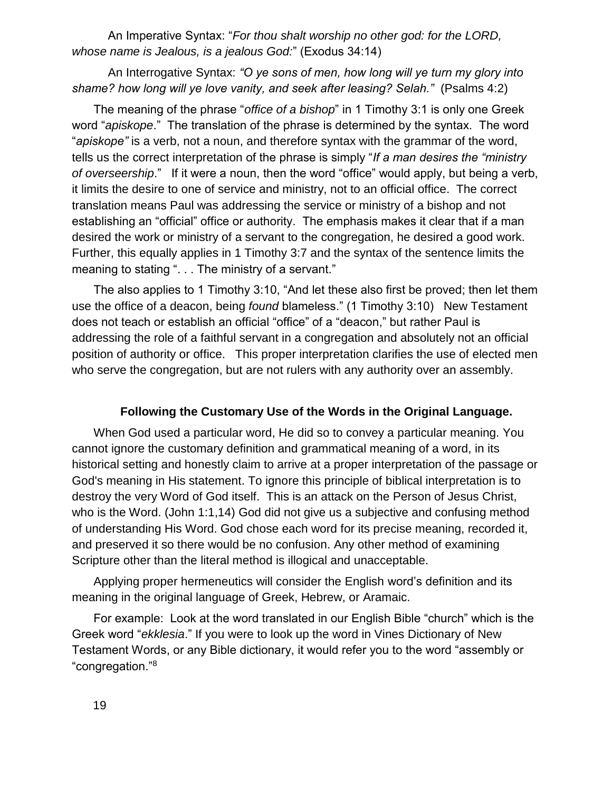An Imperative Syntax: "*For thou shalt worship no other god: for the LORD, whose name is Jealous, is a jealous God:*" (Exodus 34:14)

An Interrogative Syntax: *"O ye sons of men, how long will ye turn my glory into shame? how long will ye love vanity, and seek after leasing? Selah."* (Psalms 4:2)

The meaning of the phrase "*office of a bishop*" in 1 Timothy 3:1 is only one Greek word "*apiskope*." The translation of the phrase is determined by the syntax. The word "*apiskope"* is a verb, not a noun, and therefore syntax with the grammar of the word, tells us the correct interpretation of the phrase is simply "*If a man desires the "ministry of overseership*." If it were a noun, then the word "office" would apply, but being a verb, it limits the desire to one of service and ministry, not to an official office. The correct translation means Paul was addressing the service or ministry of a bishop and not establishing an "official" office or authority. The emphasis makes it clear that if a man desired the work or ministry of a servant to the congregation, he desired a good work. Further, this equally applies in 1 Timothy 3:7 and the syntax of the sentence limits the meaning to stating ". . . The ministry of a servant."

The also applies to 1 Timothy 3:10, "And let these also first be proved; then let them use the office of a deacon, being *found* blameless." (1 Timothy 3:10) New Testament does not teach or establish an official "office" of a "deacon," but rather Paul is addressing the role of a faithful servant in a congregation and absolutely not an official position of authority or office. This proper interpretation clarifies the use of elected men who serve the congregation, but are not rulers with any authority over an assembly.

### **Following the Customary Use of the Words in the Original Language.**

When God used a particular word, He did so to convey a particular meaning. You cannot ignore the customary definition and grammatical meaning of a word, in its historical setting and honestly claim to arrive at a proper interpretation of the passage or God's meaning in His statement. To ignore this principle of biblical interpretation is to destroy the very Word of God itself. This is an attack on the Person of Jesus Christ, who is the Word. (John 1:1,14) God did not give us a subjective and confusing method of understanding His Word. God chose each word for its precise meaning, recorded it, and preserved it so there would be no confusion. Any other method of examining Scripture other than the literal method is illogical and unacceptable.

Applying proper hermeneutics will consider the English word's definition and its meaning in the original language of Greek, Hebrew, or Aramaic.

For example: Look at the word translated in our English Bible "church" which is the Greek word "*ekklesia*." If you were to look up the word in Vines Dictionary of New Testament Words, or any Bible dictionary, it would refer you to the word "assembly or "congregation."<sup>8</sup>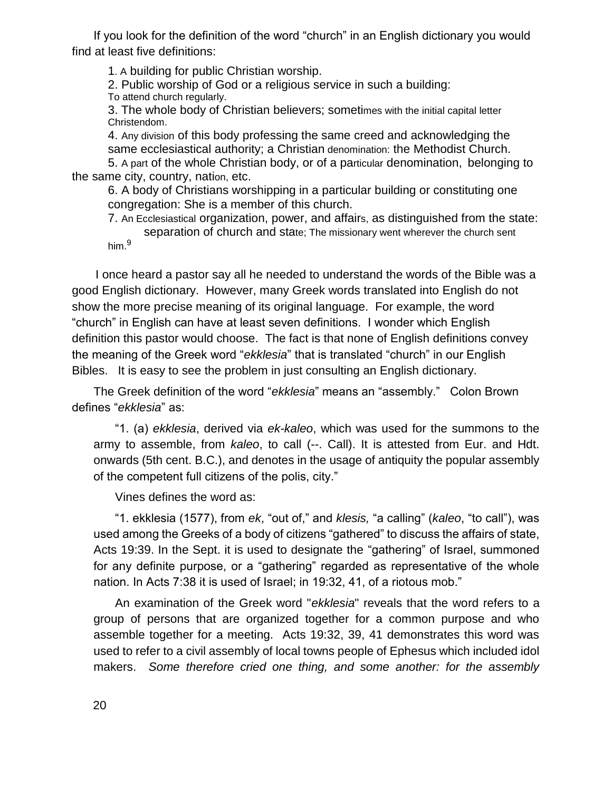If you look for the definition of the word "church" in an English dictionary you would find at least five definitions:

1. A building for public Christian worship.

2. Public worship of God or a religious service in such a building:

To attend church regularly.

3. The whole body of Christian believers; sometimes with the initial capital letter Christendom.

4. Any division of this body professing the same creed and acknowledging the same ecclesiastical authority; a Christian denomination: the Methodist Church. 5. A part of the whole Christian body, or of a particular denomination, belonging to

the same city, country, nation, etc.

6. A body of Christians worshipping in a particular building or constituting one congregation: She is a member of this church.

7. An Ecclesiastical organization, power, and affairs, as distinguished from the state: separation of church and state; The missionary went wherever the church sent him.<sup>9</sup>

I once heard a pastor say all he needed to understand the words of the Bible was a good English dictionary. However, many Greek words translated into English do not show the more precise meaning of its original language. For example, the word "church" in English can have at least seven definitions. I wonder which English definition this pastor would choose. The fact is that none of English definitions convey the meaning of the Greek word "*ekklesia*" that is translated "church" in our English Bibles. It is easy to see the problem in just consulting an English dictionary.

The Greek definition of the word "*ekklesia*" means an "assembly." Colon Brown defines "*ekklesia*" as:

"1. (a) *ekklesia*, derived via *ek-kaleo*, which was used for the summons to the army to assemble, from *kaleo*, to call (--. Call). It is attested from Eur. and Hdt. onwards (5th cent. B.C.), and denotes in the usage of antiquity the popular assembly of the competent full citizens of the polis, city."

Vines defines the word as:

"1. ekklesia (1577), from *ek*, "out of," and *klesis,* "a calling" (*kaleo*, "to call"), was used among the Greeks of a body of citizens "gathered" to discuss the affairs of state, Acts 19:39. In the Sept. it is used to designate the "gathering" of Israel, summoned for any definite purpose, or a "gathering" regarded as representative of the whole nation. In Acts 7:38 it is used of Israel; in 19:32, 41, of a riotous mob."

An examination of the Greek word "*ekklesia*" reveals that the word refers to a group of persons that are organized together for a common purpose and who assemble together for a meeting. Acts 19:32, 39, 41 demonstrates this word was used to refer to a civil assembly of local towns people of Ephesus which included idol makers. *Some therefore cried one thing, and some another: for the assembly*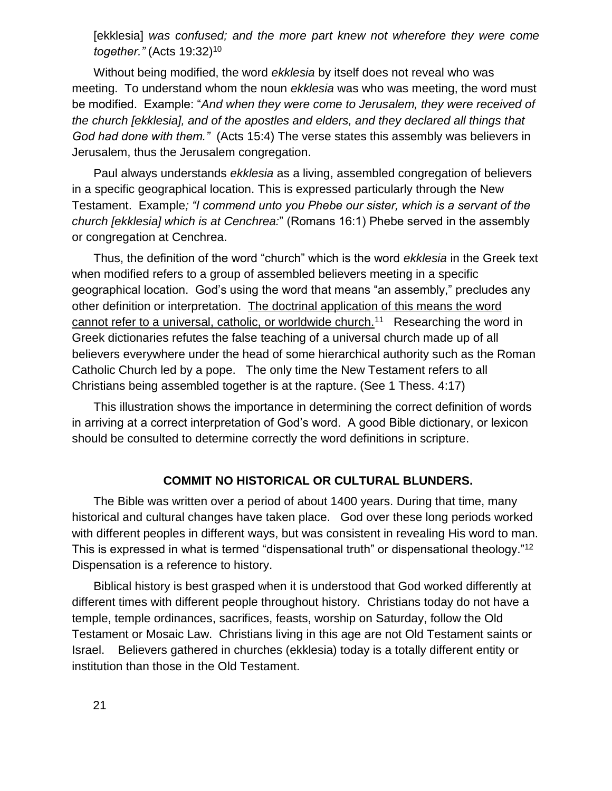[ekklesia] *was confused; and the more part knew not wherefore they were come together."* (Acts 19:32)<sup>10</sup>

Without being modified, the word *ekklesia* by itself does not reveal who was meeting. To understand whom the noun *ekklesia* was who was meeting, the word must be modified. Example: "*And when they were come to Jerusalem, they were received of the church [ekklesia], and of the apostles and elders, and they declared all things that God had done with them."* (Acts 15:4) The verse states this assembly was believers in Jerusalem, thus the Jerusalem congregation.

Paul always understands *ekklesia* as a living, assembled congregation of believers in a specific geographical location. This is expressed particularly through the New Testament. Example*; "I commend unto you Phebe our sister, which is a servant of the church [ekklesia] which is at Cenchrea:*" (Romans 16:1) Phebe served in the assembly or congregation at Cenchrea.

Thus, the definition of the word "church" which is the word *ekklesia* in the Greek text when modified refers to a group of assembled believers meeting in a specific geographical location. God's using the word that means "an assembly," precludes any other definition or interpretation. The doctrinal application of this means the word cannot refer to a universal, catholic, or worldwide church.<sup>11</sup> Researching the word in Greek dictionaries refutes the false teaching of a universal church made up of all believers everywhere under the head of some hierarchical authority such as the Roman Catholic Church led by a pope. The only time the New Testament refers to all Christians being assembled together is at the rapture. (See 1 Thess. 4:17)

This illustration shows the importance in determining the correct definition of words in arriving at a correct interpretation of God's word. A good Bible dictionary, or lexicon should be consulted to determine correctly the word definitions in scripture.

## **COMMIT NO HISTORICAL OR CULTURAL BLUNDERS.**

The Bible was written over a period of about 1400 years. During that time, many historical and cultural changes have taken place. God over these long periods worked with different peoples in different ways, but was consistent in revealing His word to man. This is expressed in what is termed "dispensational truth" or dispensational theology."<sup>12</sup> Dispensation is a reference to history.

Biblical history is best grasped when it is understood that God worked differently at different times with different people throughout history. Christians today do not have a temple, temple ordinances, sacrifices, feasts, worship on Saturday, follow the Old Testament or Mosaic Law. Christians living in this age are not Old Testament saints or Israel. Believers gathered in churches (ekklesia) today is a totally different entity or institution than those in the Old Testament.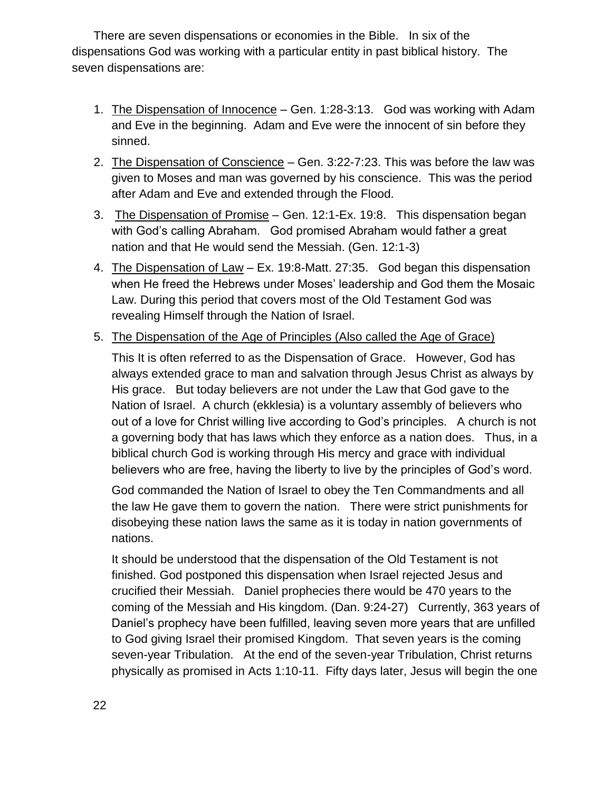There are seven dispensations or economies in the Bible. In six of the dispensations God was working with a particular entity in past biblical history. The seven dispensations are:

- 1. The Dispensation of Innocence Gen. 1:28-3:13. God was working with Adam and Eve in the beginning. Adam and Eve were the innocent of sin before they sinned.
- 2. The Dispensation of Conscience Gen. 3:22-7:23. This was before the law was given to Moses and man was governed by his conscience. This was the period after Adam and Eve and extended through the Flood.
- 3. The Dispensation of Promise Gen. 12:1-Ex. 19:8. This dispensation began with God's calling Abraham. God promised Abraham would father a great nation and that He would send the Messiah. (Gen. 12:1-3)
- 4. The Dispensation of Law Ex. 19:8-Matt. 27:35. God began this dispensation when He freed the Hebrews under Moses' leadership and God them the Mosaic Law. During this period that covers most of the Old Testament God was revealing Himself through the Nation of Israel.
- 5. The Dispensation of the Age of Principles (Also called the Age of Grace)

This It is often referred to as the Dispensation of Grace. However, God has always extended grace to man and salvation through Jesus Christ as always by His grace. But today believers are not under the Law that God gave to the Nation of Israel. A church (ekklesia) is a voluntary assembly of believers who out of a love for Christ willing live according to God's principles. A church is not a governing body that has laws which they enforce as a nation does. Thus, in a biblical church God is working through His mercy and grace with individual believers who are free, having the liberty to live by the principles of God's word.

God commanded the Nation of Israel to obey the Ten Commandments and all the law He gave them to govern the nation. There were strict punishments for disobeying these nation laws the same as it is today in nation governments of nations.

It should be understood that the dispensation of the Old Testament is not finished. God postponed this dispensation when Israel rejected Jesus and crucified their Messiah. Daniel prophecies there would be 470 years to the coming of the Messiah and His kingdom. (Dan. 9:24-27) Currently, 363 years of Daniel's prophecy have been fulfilled, leaving seven more years that are unfilled to God giving Israel their promised Kingdom. That seven years is the coming seven-year Tribulation. At the end of the seven-year Tribulation, Christ returns physically as promised in Acts 1:10-11. Fifty days later, Jesus will begin the one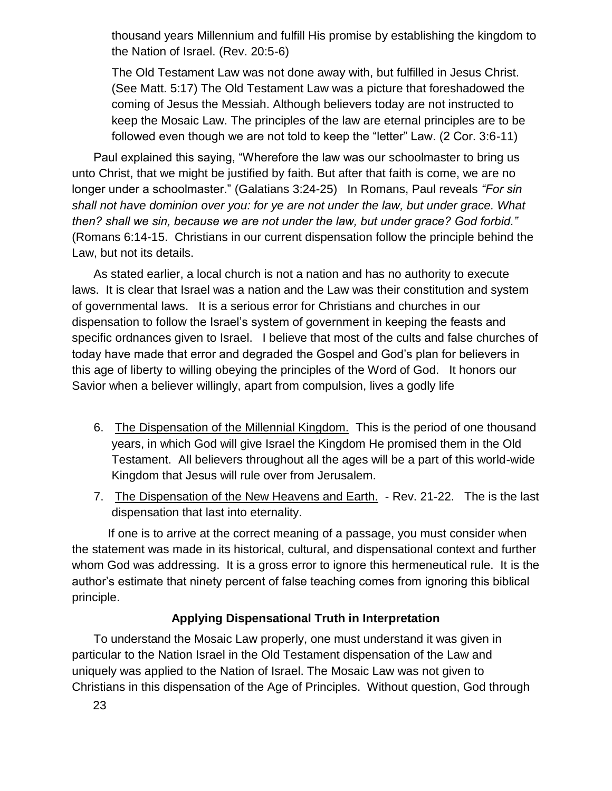thousand years Millennium and fulfill His promise by establishing the kingdom to the Nation of Israel. (Rev. 20:5-6)

The Old Testament Law was not done away with, but fulfilled in Jesus Christ. (See Matt. 5:17) The Old Testament Law was a picture that foreshadowed the coming of Jesus the Messiah. Although believers today are not instructed to keep the Mosaic Law. The principles of the law are eternal principles are to be followed even though we are not told to keep the "letter" Law. (2 Cor. 3:6-11)

Paul explained this saying, "Wherefore the law was our schoolmaster to bring us unto Christ, that we might be justified by faith. But after that faith is come, we are no longer under a schoolmaster." (Galatians 3:24-25) In Romans, Paul reveals *"For sin shall not have dominion over you: for ye are not under the law, but under grace. What then? shall we sin, because we are not under the law, but under grace? God forbid."*  (Romans 6:14-15. Christians in our current dispensation follow the principle behind the Law, but not its details.

As stated earlier, a local church is not a nation and has no authority to execute laws. It is clear that Israel was a nation and the Law was their constitution and system of governmental laws. It is a serious error for Christians and churches in our dispensation to follow the Israel's system of government in keeping the feasts and specific ordnances given to Israel. I believe that most of the cults and false churches of today have made that error and degraded the Gospel and God's plan for believers in this age of liberty to willing obeying the principles of the Word of God. It honors our Savior when a believer willingly, apart from compulsion, lives a godly life

- 6. The Dispensation of the Millennial Kingdom. This is the period of one thousand years, in which God will give Israel the Kingdom He promised them in the Old Testament. All believers throughout all the ages will be a part of this world-wide Kingdom that Jesus will rule over from Jerusalem.
- 7. The Dispensation of the New Heavens and Earth. Rev. 21-22. The is the last dispensation that last into eternality.

If one is to arrive at the correct meaning of a passage, you must consider when the statement was made in its historical, cultural, and dispensational context and further whom God was addressing. It is a gross error to ignore this hermeneutical rule. It is the author's estimate that ninety percent of false teaching comes from ignoring this biblical principle.

# **Applying Dispensational Truth in Interpretation**

To understand the Mosaic Law properly, one must understand it was given in particular to the Nation Israel in the Old Testament dispensation of the Law and uniquely was applied to the Nation of Israel. The Mosaic Law was not given to Christians in this dispensation of the Age of Principles. Without question, God through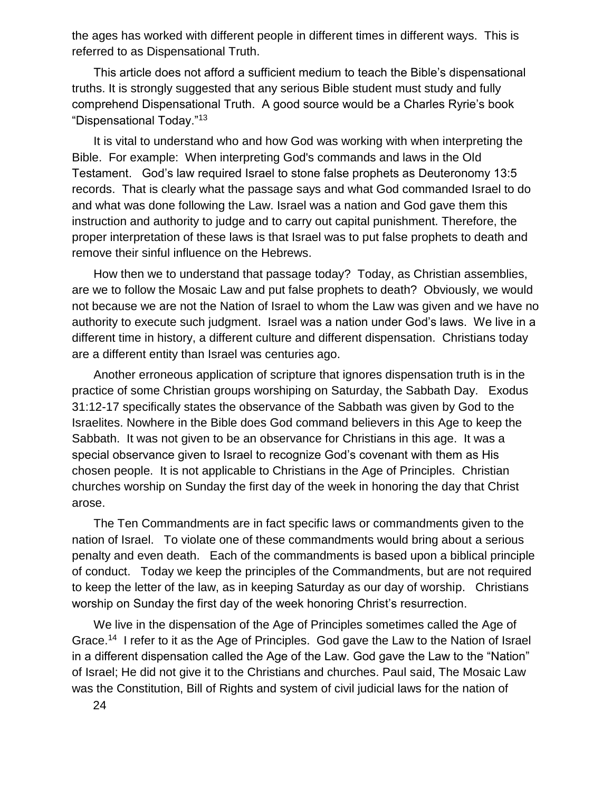the ages has worked with different people in different times in different ways. This is referred to as Dispensational Truth.

This article does not afford a sufficient medium to teach the Bible's dispensational truths. It is strongly suggested that any serious Bible student must study and fully comprehend Dispensational Truth. A good source would be a Charles Ryrie's book "Dispensational Today."<sup>13</sup>

It is vital to understand who and how God was working with when interpreting the Bible. For example: When interpreting God's commands and laws in the Old Testament. God's law required Israel to stone false prophets as Deuteronomy 13:5 records. That is clearly what the passage says and what God commanded Israel to do and what was done following the Law. Israel was a nation and God gave them this instruction and authority to judge and to carry out capital punishment. Therefore, the proper interpretation of these laws is that Israel was to put false prophets to death and remove their sinful influence on the Hebrews.

How then we to understand that passage today? Today, as Christian assemblies, are we to follow the Mosaic Law and put false prophets to death? Obviously, we would not because we are not the Nation of Israel to whom the Law was given and we have no authority to execute such judgment. Israel was a nation under God's laws. We live in a different time in history, a different culture and different dispensation. Christians today are a different entity than Israel was centuries ago.

Another erroneous application of scripture that ignores dispensation truth is in the practice of some Christian groups worshiping on Saturday, the Sabbath Day. Exodus 31:12-17 specifically states the observance of the Sabbath was given by God to the Israelites. Nowhere in the Bible does God command believers in this Age to keep the Sabbath. It was not given to be an observance for Christians in this age. It was a special observance given to Israel to recognize God's covenant with them as His chosen people. It is not applicable to Christians in the Age of Principles. Christian churches worship on Sunday the first day of the week in honoring the day that Christ arose.

The Ten Commandments are in fact specific laws or commandments given to the nation of Israel. To violate one of these commandments would bring about a serious penalty and even death. Each of the commandments is based upon a biblical principle of conduct. Today we keep the principles of the Commandments, but are not required to keep the letter of the law, as in keeping Saturday as our day of worship. Christians worship on Sunday the first day of the week honoring Christ's resurrection.

We live in the dispensation of the Age of Principles sometimes called the Age of Grace.<sup>14</sup> I refer to it as the Age of Principles. God gave the Law to the Nation of Israel in a different dispensation called the Age of the Law. God gave the Law to the "Nation" of Israel; He did not give it to the Christians and churches. Paul said, The Mosaic Law was the Constitution, Bill of Rights and system of civil judicial laws for the nation of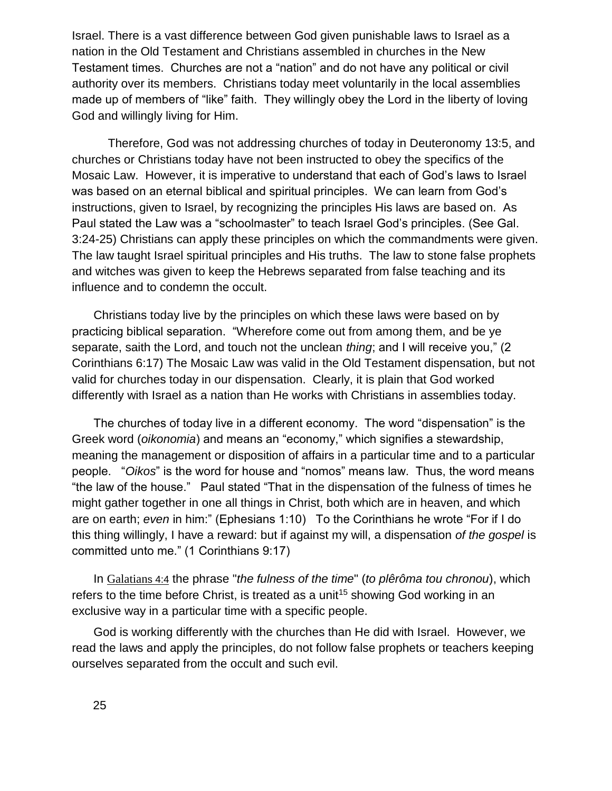Israel. There is a vast difference between God given punishable laws to Israel as a nation in the Old Testament and Christians assembled in churches in the New Testament times. Churches are not a "nation" and do not have any political or civil authority over its members. Christians today meet voluntarily in the local assemblies made up of members of "like" faith. They willingly obey the Lord in the liberty of loving God and willingly living for Him.

Therefore, God was not addressing churches of today in Deuteronomy 13:5, and churches or Christians today have not been instructed to obey the specifics of the Mosaic Law. However, it is imperative to understand that each of God's laws to Israel was based on an eternal biblical and spiritual principles. We can learn from God's instructions, given to Israel, by recognizing the principles His laws are based on. As Paul stated the Law was a "schoolmaster" to teach Israel God's principles. (See Gal. 3:24-25) Christians can apply these principles on which the commandments were given. The law taught Israel spiritual principles and His truths. The law to stone false prophets and witches was given to keep the Hebrews separated from false teaching and its influence and to condemn the occult.

Christians today live by the principles on which these laws were based on by practicing biblical separation. "Wherefore come out from among them, and be ye separate, saith the Lord, and touch not the unclean *thing*; and I will receive you," (2 Corinthians 6:17) The Mosaic Law was valid in the Old Testament dispensation, but not valid for churches today in our dispensation. Clearly, it is plain that God worked differently with Israel as a nation than He works with Christians in assemblies today.

The churches of today live in a different economy. The word "dispensation" is the Greek word (*oikonomia*) and means an "economy," which signifies a stewardship, meaning the management or disposition of affairs in a particular time and to a particular people. "*Oikos*" is the word for house and "nomos" means law. Thus, the word means "the law of the house." Paul stated "That in the dispensation of the fulness of times he might gather together in one all things in Christ, both which are in heaven, and which are on earth; *even* in him:" (Ephesians 1:10) To the Corinthians he wrote "For if I do this thing willingly, I have a reward: but if against my will, a dispensation *of the gospel* is committed unto me." (1 Corinthians 9:17)

In [Galatian](swordsearcher://bible/Ga4.4)s 4:4 the phrase "*the fulness of the time*" (*to plêrôma tou chronou*), which refers to the time before Christ, is treated as a unit<sup>15</sup> showing God working in an exclusive way in a particular time with a specific people.

God is working differently with the churches than He did with Israel. However, we read the laws and apply the principles, do not follow false prophets or teachers keeping ourselves separated from the occult and such evil.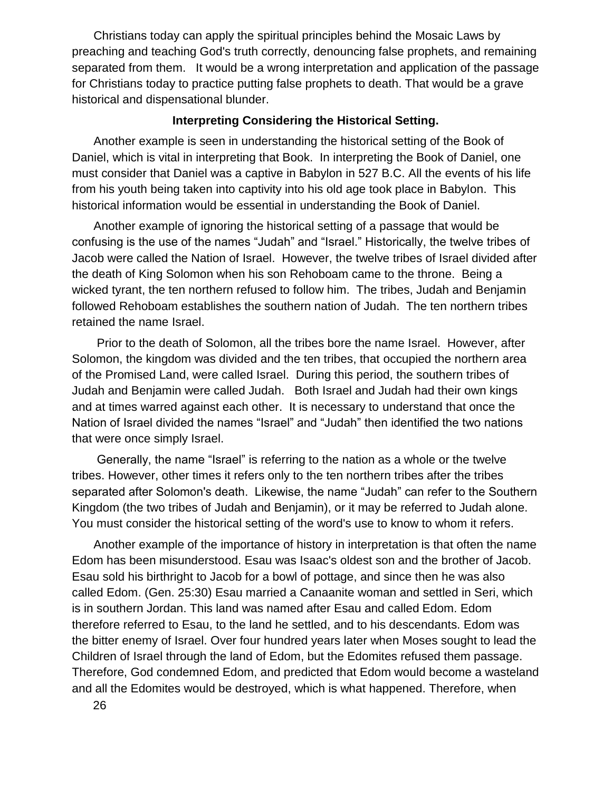Christians today can apply the spiritual principles behind the Mosaic Laws by preaching and teaching God's truth correctly, denouncing false prophets, and remaining separated from them. It would be a wrong interpretation and application of the passage for Christians today to practice putting false prophets to death. That would be a grave historical and dispensational blunder.

### **Interpreting Considering the Historical Setting.**

Another example is seen in understanding the historical setting of the Book of Daniel, which is vital in interpreting that Book. In interpreting the Book of Daniel, one must consider that Daniel was a captive in Babylon in 527 B.C. All the events of his life from his youth being taken into captivity into his old age took place in Babylon. This historical information would be essential in understanding the Book of Daniel.

Another example of ignoring the historical setting of a passage that would be confusing is the use of the names "Judah" and "Israel." Historically, the twelve tribes of Jacob were called the Nation of Israel. However, the twelve tribes of Israel divided after the death of King Solomon when his son Rehoboam came to the throne. Being a wicked tyrant, the ten northern refused to follow him. The tribes, Judah and Benjamin followed Rehoboam establishes the southern nation of Judah. The ten northern tribes retained the name Israel.

Prior to the death of Solomon, all the tribes bore the name Israel. However, after Solomon, the kingdom was divided and the ten tribes, that occupied the northern area of the Promised Land, were called Israel. During this period, the southern tribes of Judah and Benjamin were called Judah. Both Israel and Judah had their own kings and at times warred against each other. It is necessary to understand that once the Nation of Israel divided the names "Israel" and "Judah" then identified the two nations that were once simply Israel.

Generally, the name "Israel" is referring to the nation as a whole or the twelve tribes. However, other times it refers only to the ten northern tribes after the tribes separated after Solomon's death. Likewise, the name "Judah" can refer to the Southern Kingdom (the two tribes of Judah and Benjamin), or it may be referred to Judah alone. You must consider the historical setting of the word's use to know to whom it refers.

Another example of the importance of history in interpretation is that often the name Edom has been misunderstood. Esau was Isaac's oldest son and the brother of Jacob. Esau sold his birthright to Jacob for a bowl of pottage, and since then he was also called Edom. (Gen. 25:30) Esau married a Canaanite woman and settled in Seri, which is in southern Jordan. This land was named after Esau and called Edom. Edom therefore referred to Esau, to the land he settled, and to his descendants. Edom was the bitter enemy of Israel. Over four hundred years later when Moses sought to lead the Children of Israel through the land of Edom, but the Edomites refused them passage. Therefore, God condemned Edom, and predicted that Edom would become a wasteland and all the Edomites would be destroyed, which is what happened. Therefore, when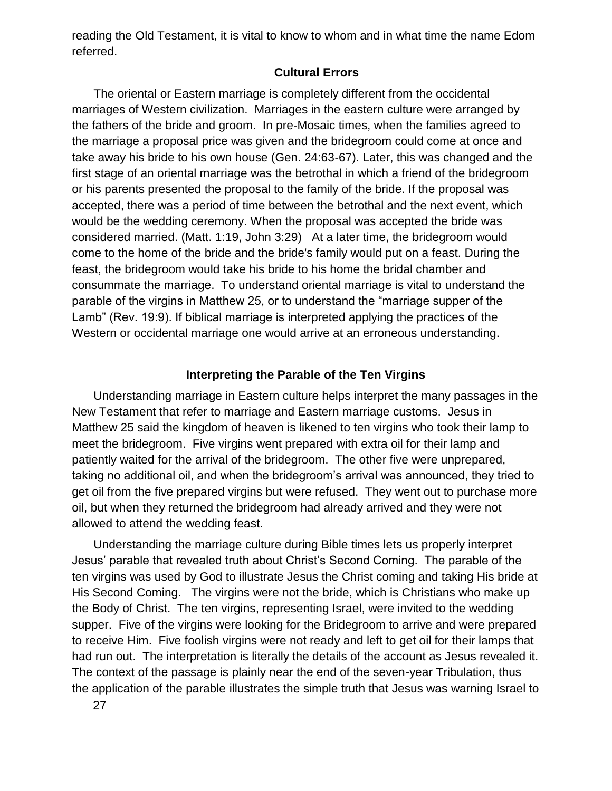reading the Old Testament, it is vital to know to whom and in what time the name Edom referred.

## **Cultural Errors**

The oriental or Eastern marriage is completely different from the occidental marriages of Western civilization. Marriages in the eastern culture were arranged by the fathers of the bride and groom. In pre-Mosaic times, when the families agreed to the marriage a proposal price was given and the bridegroom could come at once and take away his bride to his own house (Gen. 24:63-67). Later, this was changed and the first stage of an oriental marriage was the betrothal in which a friend of the bridegroom or his parents presented the proposal to the family of the bride. If the proposal was accepted, there was a period of time between the betrothal and the next event, which would be the wedding ceremony. When the proposal was accepted the bride was considered married. (Matt. 1:19, John 3:29) At a later time, the bridegroom would come to the home of the bride and the bride's family would put on a feast. During the feast, the bridegroom would take his bride to his home the bridal chamber and consummate the marriage. To understand oriental marriage is vital to understand the parable of the virgins in Matthew 25, or to understand the "marriage supper of the Lamb" (Rev. 19:9). If biblical marriage is interpreted applying the practices of the Western or occidental marriage one would arrive at an erroneous understanding.

### **Interpreting the Parable of the Ten Virgins**

Understanding marriage in Eastern culture helps interpret the many passages in the New Testament that refer to marriage and Eastern marriage customs. Jesus in Matthew 25 said the kingdom of heaven is likened to ten virgins who took their lamp to meet the bridegroom. Five virgins went prepared with extra oil for their lamp and patiently waited for the arrival of the bridegroom. The other five were unprepared, taking no additional oil, and when the bridegroom's arrival was announced, they tried to get oil from the five prepared virgins but were refused. They went out to purchase more oil, but when they returned the bridegroom had already arrived and they were not allowed to attend the wedding feast.

Understanding the marriage culture during Bible times lets us properly interpret Jesus' parable that revealed truth about Christ's Second Coming. The parable of the ten virgins was used by God to illustrate Jesus the Christ coming and taking His bride at His Second Coming. The virgins were not the bride, which is Christians who make up the Body of Christ. The ten virgins, representing Israel, were invited to the wedding supper. Five of the virgins were looking for the Bridegroom to arrive and were prepared to receive Him. Five foolish virgins were not ready and left to get oil for their lamps that had run out. The interpretation is literally the details of the account as Jesus revealed it. The context of the passage is plainly near the end of the seven-year Tribulation, thus the application of the parable illustrates the simple truth that Jesus was warning Israel to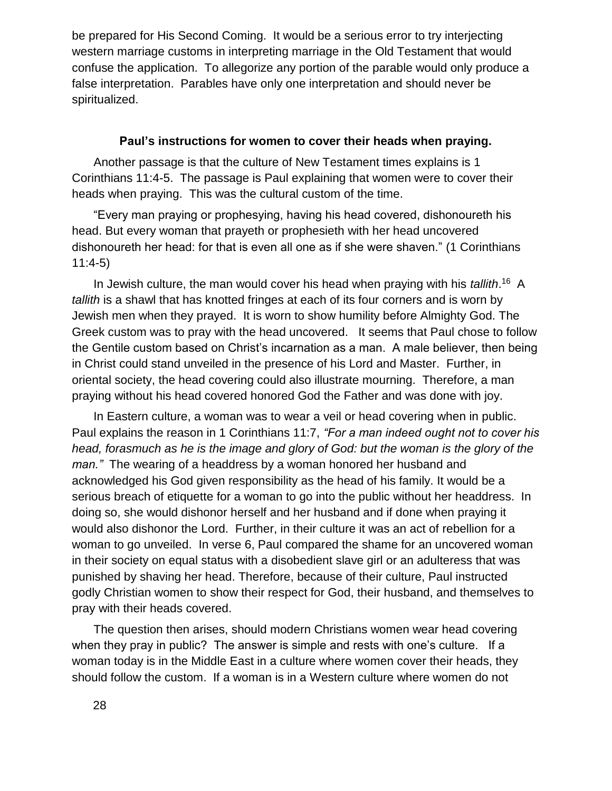be prepared for His Second Coming. It would be a serious error to try interjecting western marriage customs in interpreting marriage in the Old Testament that would confuse the application. To allegorize any portion of the parable would only produce a false interpretation. Parables have only one interpretation and should never be spiritualized.

### **Paul's instructions for women to cover their heads when praying.**

Another passage is that the culture of New Testament times explains is 1 Corinthians 11:4-5. The passage is Paul explaining that women were to cover their heads when praying. This was the cultural custom of the time.

"Every man praying or prophesying, having his head covered, dishonoureth his head. But every woman that prayeth or prophesieth with her head uncovered dishonoureth her head: for that is even all one as if she were shaven." (1 Corinthians 11:4-5)

In Jewish culture, the man would cover his head when praying with his *tallith*.<sup>16</sup> A *tallith* is a shawl that has knotted fringes at each of its four corners and is worn by Jewish men when they prayed. It is worn to show humility before Almighty God. The Greek custom was to pray with the head uncovered. It seems that Paul chose to follow the Gentile custom based on Christ's incarnation as a man. A male believer, then being in Christ could stand unveiled in the presence of his Lord and Master. Further, in oriental society, the head covering could also illustrate mourning. Therefore, a man praying without his head covered honored God the Father and was done with joy.

In Eastern culture, a woman was to wear a veil or head covering when in public. Paul explains the reason in 1 Corinthians 11:7, *"For a man indeed ought not to cover his head, forasmuch as he is the image and glory of God: but the woman is the glory of the man."* The wearing of a headdress by a woman honored her husband and acknowledged his God given responsibility as the head of his family. It would be a serious breach of etiquette for a woman to go into the public without her headdress. In doing so, she would dishonor herself and her husband and if done when praying it would also dishonor the Lord. Further, in their culture it was an act of rebellion for a woman to go unveiled. In verse 6, Paul compared the shame for an uncovered woman in their society on equal status with a disobedient slave girl or an adulteress that was punished by shaving her head. Therefore, because of their culture, Paul instructed godly Christian women to show their respect for God, their husband, and themselves to pray with their heads covered.

The question then arises, should modern Christians women wear head covering when they pray in public? The answer is simple and rests with one's culture. If a woman today is in the Middle East in a culture where women cover their heads, they should follow the custom. If a woman is in a Western culture where women do not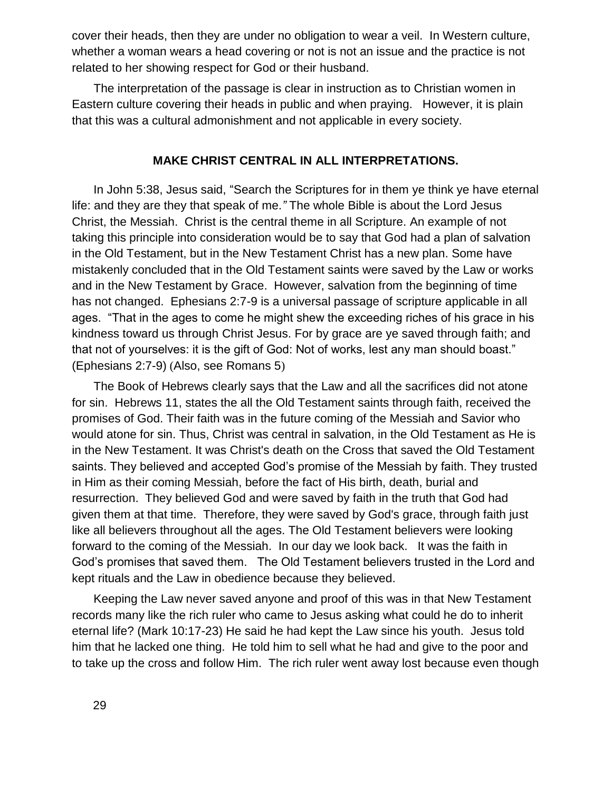cover their heads, then they are under no obligation to wear a veil. In Western culture, whether a woman wears a head covering or not is not an issue and the practice is not related to her showing respect for God or their husband.

The interpretation of the passage is clear in instruction as to Christian women in Eastern culture covering their heads in public and when praying. However, it is plain that this was a cultural admonishment and not applicable in every society.

## **MAKE CHRIST CENTRAL IN ALL INTERPRETATIONS.**

In John 5:38, Jesus said, "Search the Scriptures for in them ye think ye have eternal life: and they are they that speak of me*."* The whole Bible is about the Lord Jesus Christ, the Messiah. Christ is the central theme in all Scripture. An example of not taking this principle into consideration would be to say that God had a plan of salvation in the Old Testament, but in the New Testament Christ has a new plan. Some have mistakenly concluded that in the Old Testament saints were saved by the Law or works and in the New Testament by Grace. However, salvation from the beginning of time has not changed. Ephesians 2:7-9 is a universal passage of scripture applicable in all ages. "That in the ages to come he might shew the exceeding riches of his grace in his kindness toward us through Christ Jesus. For by grace are ye saved through faith; and that not of yourselves: it is the gift of God: Not of works, lest any man should boast." (Ephesians 2:7-9) (Also, see Romans 5)

The Book of Hebrews clearly says that the Law and all the sacrifices did not atone for sin. Hebrews 11, states the all the Old Testament saints through faith, received the promises of God. Their faith was in the future coming of the Messiah and Savior who would atone for sin. Thus, Christ was central in salvation, in the Old Testament as He is in the New Testament. It was Christ's death on the Cross that saved the Old Testament saints. They believed and accepted God's promise of the Messiah by faith. They trusted in Him as their coming Messiah, before the fact of His birth, death, burial and resurrection. They believed God and were saved by faith in the truth that God had given them at that time. Therefore, they were saved by God's grace, through faith just like all believers throughout all the ages. The Old Testament believers were looking forward to the coming of the Messiah. In our day we look back. It was the faith in God's promises that saved them. The Old Testament believers trusted in the Lord and kept rituals and the Law in obedience because they believed.

Keeping the Law never saved anyone and proof of this was in that New Testament records many like the rich ruler who came to Jesus asking what could he do to inherit eternal life? (Mark 10:17-23) He said he had kept the Law since his youth. Jesus told him that he lacked one thing. He told him to sell what he had and give to the poor and to take up the cross and follow Him. The rich ruler went away lost because even though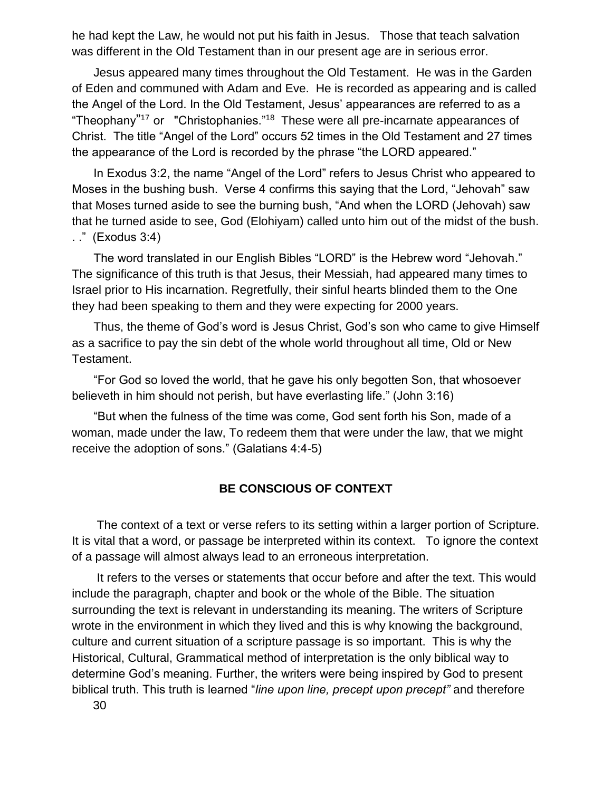he had kept the Law, he would not put his faith in Jesus. Those that teach salvation was different in the Old Testament than in our present age are in serious error.

Jesus appeared many times throughout the Old Testament. He was in the Garden of Eden and communed with Adam and Eve. He is recorded as appearing and is called the Angel of the Lord. In the Old Testament, Jesus' appearances are referred to as a "Theophany"<sup>17</sup> or "Christophanies."<sup>18</sup> These were all pre-incarnate appearances of Christ. The title "Angel of the Lord" occurs 52 times in the Old Testament and 27 times the appearance of the Lord is recorded by the phrase "the LORD appeared."

In Exodus 3:2, the name "Angel of the Lord" refers to Jesus Christ who appeared to Moses in the bushing bush. Verse 4 confirms this saying that the Lord, "Jehovah" saw that Moses turned aside to see the burning bush, "And when the LORD (Jehovah) saw that he turned aside to see, God (Elohiyam) called unto him out of the midst of the bush. . ." (Exodus 3:4)

The word translated in our English Bibles "LORD" is the Hebrew word "Jehovah." The significance of this truth is that Jesus, their Messiah, had appeared many times to Israel prior to His incarnation. Regretfully, their sinful hearts blinded them to the One they had been speaking to them and they were expecting for 2000 years.

Thus, the theme of God's word is Jesus Christ, God's son who came to give Himself as a sacrifice to pay the sin debt of the whole world throughout all time, Old or New Testament.

"For God so loved the world, that he gave his only begotten Son, that whosoever believeth in him should not perish, but have everlasting life." (John 3:16)

"But when the fulness of the time was come, God sent forth his Son, made of a woman, made under the law, To redeem them that were under the law, that we might receive the adoption of sons." (Galatians 4:4-5)

## **BE CONSCIOUS OF CONTEXT**

The context of a text or verse refers to its setting within a larger portion of Scripture. It is vital that a word, or passage be interpreted within its context. To ignore the context of a passage will almost always lead to an erroneous interpretation.

It refers to the verses or statements that occur before and after the text. This would include the paragraph, chapter and book or the whole of the Bible. The situation surrounding the text is relevant in understanding its meaning. The writers of Scripture wrote in the environment in which they lived and this is why knowing the background, culture and current situation of a scripture passage is so important. This is why the Historical, Cultural, Grammatical method of interpretation is the only biblical way to determine God's meaning. Further, the writers were being inspired by God to present biblical truth. This truth is learned "*line upon line, precept upon precept"* and therefore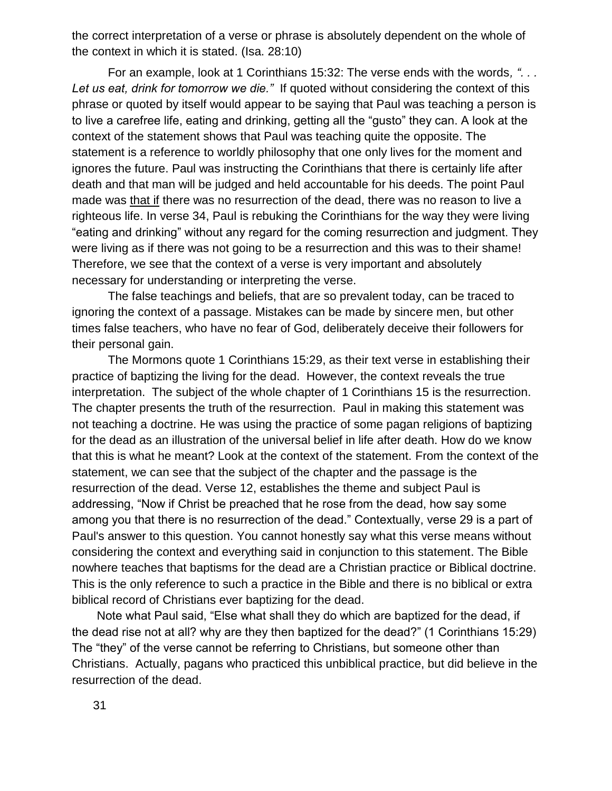the correct interpretation of a verse or phrase is absolutely dependent on the whole of the context in which it is stated. (Isa. 28:10)

For an example, look at 1 Corinthians 15:32: The verse ends with the words*, ". . . Let us eat, drink for tomorrow we die."* If quoted without considering the context of this phrase or quoted by itself would appear to be saying that Paul was teaching a person is to live a carefree life, eating and drinking, getting all the "gusto" they can. A look at the context of the statement shows that Paul was teaching quite the opposite. The statement is a reference to worldly philosophy that one only lives for the moment and ignores the future. Paul was instructing the Corinthians that there is certainly life after death and that man will be judged and held accountable for his deeds. The point Paul made was that if there was no resurrection of the dead, there was no reason to live a righteous life. In verse 34, Paul is rebuking the Corinthians for the way they were living "eating and drinking" without any regard for the coming resurrection and judgment. They were living as if there was not going to be a resurrection and this was to their shame! Therefore, we see that the context of a verse is very important and absolutely necessary for understanding or interpreting the verse.

The false teachings and beliefs, that are so prevalent today, can be traced to ignoring the context of a passage. Mistakes can be made by sincere men, but other times false teachers, who have no fear of God, deliberately deceive their followers for their personal gain.

The Mormons quote 1 Corinthians 15:29, as their text verse in establishing their practice of baptizing the living for the dead. However, the context reveals the true interpretation. The subject of the whole chapter of 1 Corinthians 15 is the resurrection. The chapter presents the truth of the resurrection. Paul in making this statement was not teaching a doctrine. He was using the practice of some pagan religions of baptizing for the dead as an illustration of the universal belief in life after death. How do we know that this is what he meant? Look at the context of the statement. From the context of the statement, we can see that the subject of the chapter and the passage is the resurrection of the dead. Verse 12, establishes the theme and subject Paul is addressing, "Now if Christ be preached that he rose from the dead, how say some among you that there is no resurrection of the dead." Contextually, verse 29 is a part of Paul's answer to this question. You cannot honestly say what this verse means without considering the context and everything said in conjunction to this statement. The Bible nowhere teaches that baptisms for the dead are a Christian practice or Biblical doctrine. This is the only reference to such a practice in the Bible and there is no biblical or extra biblical record of Christians ever baptizing for the dead.

Note what Paul said, "Else what shall they do which are baptized for the dead, if the dead rise not at all? why are they then baptized for the dead?" (1 Corinthians 15:29) The "they" of the verse cannot be referring to Christians, but someone other than Christians. Actually, pagans who practiced this unbiblical practice, but did believe in the resurrection of the dead.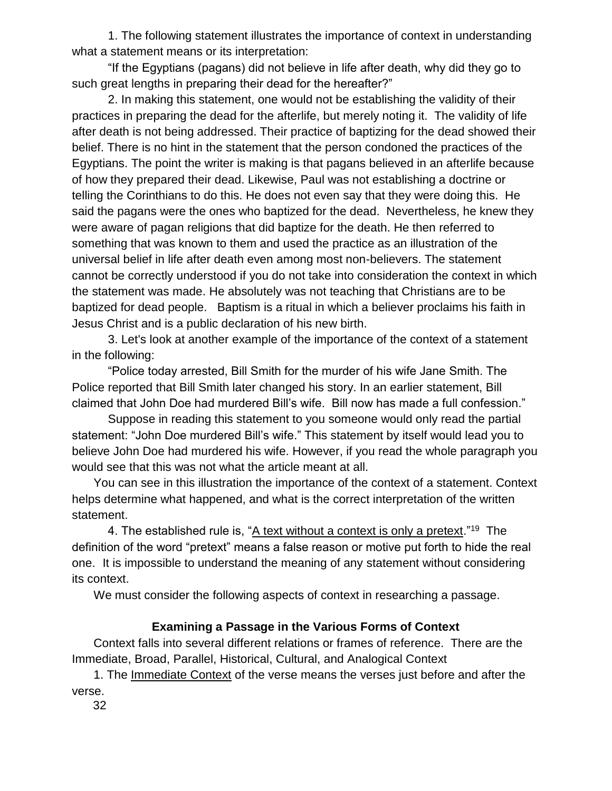1. The following statement illustrates the importance of context in understanding what a statement means or its interpretation:

"If the Egyptians (pagans) did not believe in life after death, why did they go to such great lengths in preparing their dead for the hereafter?"

2. In making this statement, one would not be establishing the validity of their practices in preparing the dead for the afterlife, but merely noting it. The validity of life after death is not being addressed. Their practice of baptizing for the dead showed their belief. There is no hint in the statement that the person condoned the practices of the Egyptians. The point the writer is making is that pagans believed in an afterlife because of how they prepared their dead. Likewise, Paul was not establishing a doctrine or telling the Corinthians to do this. He does not even say that they were doing this. He said the pagans were the ones who baptized for the dead. Nevertheless, he knew they were aware of pagan religions that did baptize for the death. He then referred to something that was known to them and used the practice as an illustration of the universal belief in life after death even among most non-believers. The statement cannot be correctly understood if you do not take into consideration the context in which the statement was made. He absolutely was not teaching that Christians are to be baptized for dead people. Baptism is a ritual in which a believer proclaims his faith in Jesus Christ and is a public declaration of his new birth.

3. Let's look at another example of the importance of the context of a statement in the following:

"Police today arrested, Bill Smith for the murder of his wife Jane Smith. The Police reported that Bill Smith later changed his story. In an earlier statement, Bill claimed that John Doe had murdered Bill's wife. Bill now has made a full confession."

Suppose in reading this statement to you someone would only read the partial statement: "John Doe murdered Bill's wife." This statement by itself would lead you to believe John Doe had murdered his wife. However, if you read the whole paragraph you would see that this was not what the article meant at all.

You can see in this illustration the importance of the context of a statement. Context helps determine what happened, and what is the correct interpretation of the written statement.

4. The established rule is, "<u>A text without a context is only a pretext</u>."<sup>19</sup> The definition of the word "pretext" means a false reason or motive put forth to hide the real one. It is impossible to understand the meaning of any statement without considering its context.

We must consider the following aspects of context in researching a passage.

# **Examining a Passage in the Various Forms of Context**

Context falls into several different relations or frames of reference. There are the Immediate, Broad, Parallel, Historical, Cultural, and Analogical Context

1. The Immediate Context of the verse means the verses just before and after the verse.

32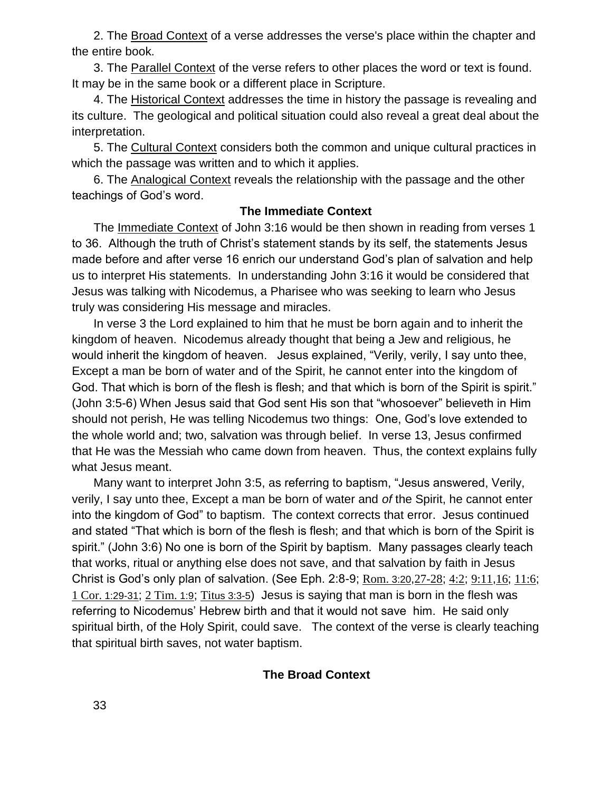2. The Broad Context of a verse addresses the verse's place within the chapter and the entire book.

3. The Parallel Context of the verse refers to other places the word or text is found. It may be in the same book or a different place in Scripture.

4. The Historical Context addresses the time in history the passage is revealing and its culture. The geological and political situation could also reveal a great deal about the interpretation.

5. The Cultural Context considers both the common and unique cultural practices in which the passage was written and to which it applies.

6. The Analogical Context reveals the relationship with the passage and the other teachings of God's word.

## **The Immediate Context**

The Immediate Context of John 3:16 would be then shown in reading from verses 1 to 36. Although the truth of Christ's statement stands by its self, the statements Jesus made before and after verse 16 enrich our understand God's plan of salvation and help us to interpret His statements. In understanding John 3:16 it would be considered that Jesus was talking with Nicodemus, a Pharisee who was seeking to learn who Jesus truly was considering His message and miracles.

In verse 3 the Lord explained to him that he must be born again and to inherit the kingdom of heaven. Nicodemus already thought that being a Jew and religious, he would inherit the kingdom of heaven. Jesus explained, "Verily, verily, I say unto thee, Except a man be born of water and of the Spirit, he cannot enter into the kingdom of God. That which is born of the flesh is flesh; and that which is born of the Spirit is spirit." (John 3:5-6) When Jesus said that God sent His son that "whosoever" believeth in Him should not perish, He was telling Nicodemus two things: One, God's love extended to the whole world and; two, salvation was through belief. In verse 13, Jesus confirmed that He was the Messiah who came down from heaven. Thus, the context explains fully what Jesus meant.

Many want to interpret John 3:5, as referring to baptism, "Jesus answered, Verily, verily, I say unto thee, Except a man be born of water and *of* the Spirit, he cannot enter into the kingdom of God" to baptism. The context corrects that error. Jesus continued and stated "That which is born of the flesh is flesh; and that which is born of the Spirit is spirit." (John 3:6) No one is born of the Spirit by baptism. Many passages clearly teach that works, ritual or anything else does not save, and that salvation by faith in Jesus Christ is God's only plan of salvation. (See Eph. 2:8-9; [Rom.](swordsearcher://bible/Ro3.20) 3:20,[27-28](swordsearcher://bible/Ro3.27-28); [4:2](swordsearcher://bible/Ro4.2); [9:11](swordsearcher://bible/Ro9.11),[16](swordsearcher://bible/Ro9.16); [11:6](swordsearcher://bible/Ro11.6); [1 Cor.](swordsearcher://bible/1Co1.29-31) 1:29-31; [2 Tim.](swordsearcher://bible/2Ti1.9) 1:9; Tit[us 3:3-5](swordsearcher://bible/Tit3.3-5)) Jesus is saying that man is born in the flesh was referring to Nicodemus' Hebrew birth and that it would not save him. He said only spiritual birth, of the Holy Spirit, could save. The context of the verse is clearly teaching that spiritual birth saves, not water baptism.

# **The Broad Context**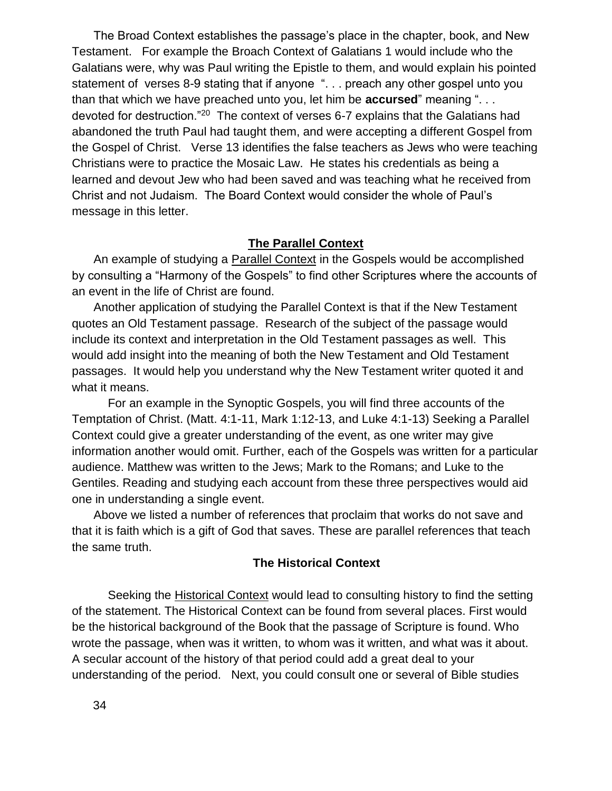The Broad Context establishes the passage's place in the chapter, book, and New Testament. For example the Broach Context of Galatians 1 would include who the Galatians were, why was Paul writing the Epistle to them, and would explain his pointed statement of verses 8-9 stating that if anyone ". . . preach any other gospel unto you than that which we have preached unto you, let him be **accursed**" meaning ". . . devoted for destruction."<sup>20</sup> The context of verses 6-7 explains that the Galatians had abandoned the truth Paul had taught them, and were accepting a different Gospel from the Gospel of Christ. Verse 13 identifies the false teachers as Jews who were teaching Christians were to practice the Mosaic Law. He states his credentials as being a learned and devout Jew who had been saved and was teaching what he received from Christ and not Judaism. The Board Context would consider the whole of Paul's message in this letter.

# **The Parallel Context**

An example of studying a Parallel Context in the Gospels would be accomplished by consulting a "Harmony of the Gospels" to find other Scriptures where the accounts of an event in the life of Christ are found.

Another application of studying the Parallel Context is that if the New Testament quotes an Old Testament passage. Research of the subject of the passage would include its context and interpretation in the Old Testament passages as well. This would add insight into the meaning of both the New Testament and Old Testament passages. It would help you understand why the New Testament writer quoted it and what it means.

For an example in the Synoptic Gospels, you will find three accounts of the Temptation of Christ. (Matt. 4:1-11, Mark 1:12-13, and Luke 4:1-13) Seeking a Parallel Context could give a greater understanding of the event, as one writer may give information another would omit. Further, each of the Gospels was written for a particular audience. Matthew was written to the Jews; Mark to the Romans; and Luke to the Gentiles. Reading and studying each account from these three perspectives would aid one in understanding a single event.

Above we listed a number of references that proclaim that works do not save and that it is faith which is a gift of God that saves. These are parallel references that teach the same truth.

### **The Historical Context**

Seeking the Historical Context would lead to consulting history to find the setting of the statement. The Historical Context can be found from several places. First would be the historical background of the Book that the passage of Scripture is found. Who wrote the passage, when was it written, to whom was it written, and what was it about. A secular account of the history of that period could add a great deal to your understanding of the period. Next, you could consult one or several of Bible studies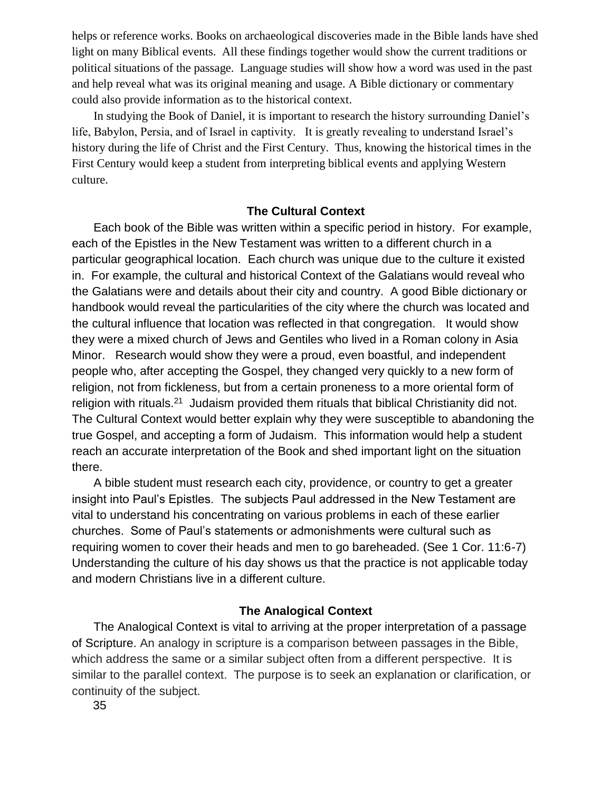helps or reference works. Books on archaeological discoveries made in the Bible lands have shed light on many Biblical events. All these findings together would show the current traditions or political situations of the passage. Language studies will show how a word was used in the past and help reveal what was its original meaning and usage. A Bible dictionary or commentary could also provide information as to the historical context.

In studying the Book of Daniel, it is important to research the history surrounding Daniel's life, Babylon, Persia, and of Israel in captivity. It is greatly revealing to understand Israel's history during the life of Christ and the First Century. Thus, knowing the historical times in the First Century would keep a student from interpreting biblical events and applying Western culture.

### **The Cultural Context**

Each book of the Bible was written within a specific period in history. For example, each of the Epistles in the New Testament was written to a different church in a particular geographical location. Each church was unique due to the culture it existed in. For example, the cultural and historical Context of the Galatians would reveal who the Galatians were and details about their city and country. A good Bible dictionary or handbook would reveal the particularities of the city where the church was located and the cultural influence that location was reflected in that congregation. It would show they were a mixed church of Jews and Gentiles who lived in a Roman colony in Asia Minor. Research would show they were a proud, even boastful, and independent people who, after accepting the Gospel, they changed very quickly to a new form of religion, not from fickleness, but from a certain proneness to a more oriental form of religion with rituals.<sup>21</sup> Judaism provided them rituals that biblical Christianity did not. The Cultural Context would better explain why they were susceptible to abandoning the true Gospel, and accepting a form of Judaism. This information would help a student reach an accurate interpretation of the Book and shed important light on the situation there.

A bible student must research each city, providence, or country to get a greater insight into Paul's Epistles. The subjects Paul addressed in the New Testament are vital to understand his concentrating on various problems in each of these earlier churches. Some of Paul's statements or admonishments were cultural such as requiring women to cover their heads and men to go bareheaded. (See 1 Cor. 11:6-7) Understanding the culture of his day shows us that the practice is not applicable today and modern Christians live in a different culture.

### **The Analogical Context**

The Analogical Context is vital to arriving at the proper interpretation of a passage of Scripture. An analogy in scripture is a comparison between passages in the Bible, which address the same or a similar subject often from a different perspective. It is similar to the parallel context. The purpose is to seek an explanation or clarification, or continuity of the subject.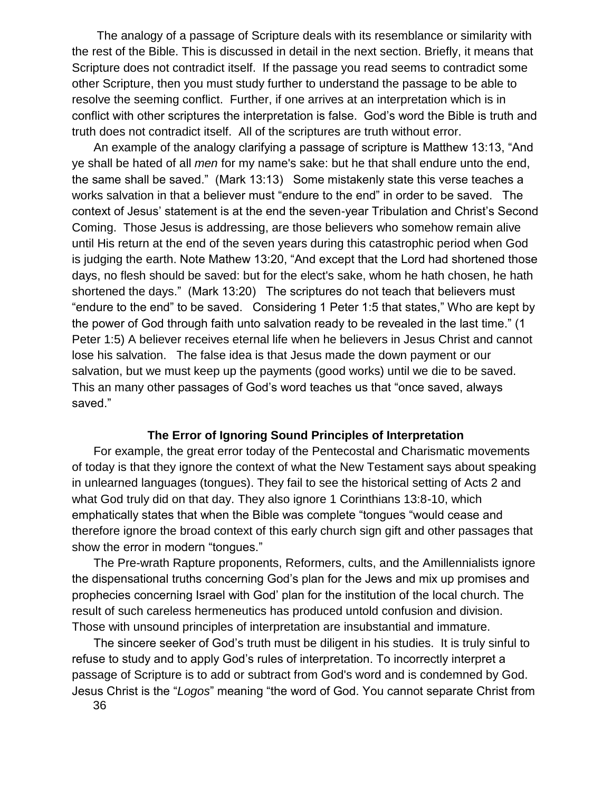The analogy of a passage of Scripture deals with its resemblance or similarity with the rest of the Bible. This is discussed in detail in the next section. Briefly, it means that Scripture does not contradict itself. If the passage you read seems to contradict some other Scripture, then you must study further to understand the passage to be able to resolve the seeming conflict. Further, if one arrives at an interpretation which is in conflict with other scriptures the interpretation is false. God's word the Bible is truth and truth does not contradict itself. All of the scriptures are truth without error.

An example of the analogy clarifying a passage of scripture is Matthew 13:13, "And ye shall be hated of all *men* for my name's sake: but he that shall endure unto the end, the same shall be saved." (Mark 13:13) Some mistakenly state this verse teaches a works salvation in that a believer must "endure to the end" in order to be saved. The context of Jesus' statement is at the end the seven-year Tribulation and Christ's Second Coming. Those Jesus is addressing, are those believers who somehow remain alive until His return at the end of the seven years during this catastrophic period when God is judging the earth. Note Mathew 13:20, "And except that the Lord had shortened those days, no flesh should be saved: but for the elect's sake, whom he hath chosen, he hath shortened the days." (Mark 13:20) The scriptures do not teach that believers must "endure to the end" to be saved. Considering 1 Peter 1:5 that states," Who are kept by the power of God through faith unto salvation ready to be revealed in the last time." (1 Peter 1:5) A believer receives eternal life when he believers in Jesus Christ and cannot lose his salvation. The false idea is that Jesus made the down payment or our salvation, but we must keep up the payments (good works) until we die to be saved. This an many other passages of God's word teaches us that "once saved, always saved."

## **The Error of Ignoring Sound Principles of Interpretation**

For example, the great error today of the Pentecostal and Charismatic movements of today is that they ignore the context of what the New Testament says about speaking in unlearned languages (tongues). They fail to see the historical setting of Acts 2 and what God truly did on that day. They also ignore 1 Corinthians 13:8-10, which emphatically states that when the Bible was complete "tongues "would cease and therefore ignore the broad context of this early church sign gift and other passages that show the error in modern "tongues."

The Pre-wrath Rapture proponents, Reformers, cults, and the Amillennialists ignore the dispensational truths concerning God's plan for the Jews and mix up promises and prophecies concerning Israel with God' plan for the institution of the local church. The result of such careless hermeneutics has produced untold confusion and division. Those with unsound principles of interpretation are insubstantial and immature.

The sincere seeker of God's truth must be diligent in his studies. It is truly sinful to refuse to study and to apply God's rules of interpretation. To incorrectly interpret a passage of Scripture is to add or subtract from God's word and is condemned by God. Jesus Christ is the "*Logos*" meaning "the word of God. You cannot separate Christ from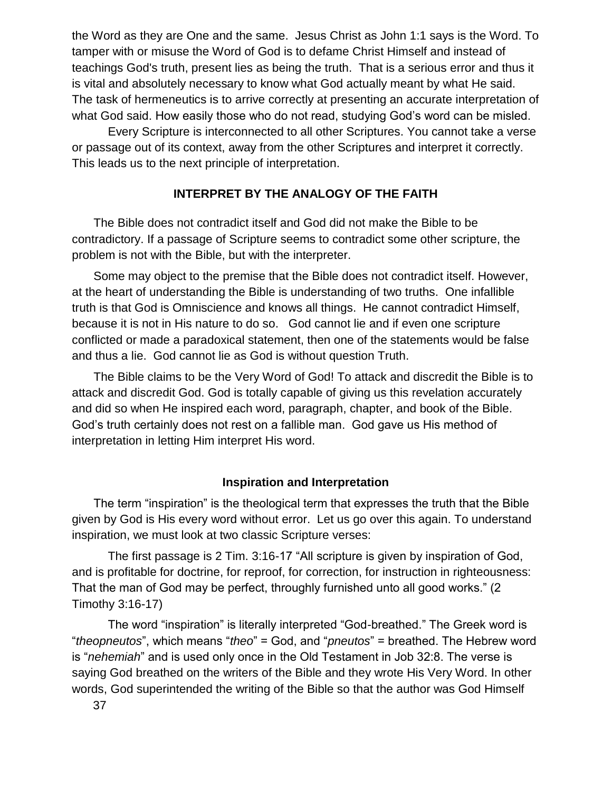the Word as they are One and the same. Jesus Christ as John 1:1 says is the Word. To tamper with or misuse the Word of God is to defame Christ Himself and instead of teachings God's truth, present lies as being the truth. That is a serious error and thus it is vital and absolutely necessary to know what God actually meant by what He said. The task of hermeneutics is to arrive correctly at presenting an accurate interpretation of what God said. How easily those who do not read, studying God's word can be misled.

Every Scripture is interconnected to all other Scriptures. You cannot take a verse or passage out of its context, away from the other Scriptures and interpret it correctly. This leads us to the next principle of interpretation.

## **INTERPRET BY THE ANALOGY OF THE FAITH**

The Bible does not contradict itself and God did not make the Bible to be contradictory. If a passage of Scripture seems to contradict some other scripture, the problem is not with the Bible, but with the interpreter.

Some may object to the premise that the Bible does not contradict itself. However, at the heart of understanding the Bible is understanding of two truths. One infallible truth is that God is Omniscience and knows all things. He cannot contradict Himself, because it is not in His nature to do so. God cannot lie and if even one scripture conflicted or made a paradoxical statement, then one of the statements would be false and thus a lie. God cannot lie as God is without question Truth.

The Bible claims to be the Very Word of God! To attack and discredit the Bible is to attack and discredit God. God is totally capable of giving us this revelation accurately and did so when He inspired each word, paragraph, chapter, and book of the Bible. God's truth certainly does not rest on a fallible man. God gave us His method of interpretation in letting Him interpret His word.

#### **Inspiration and Interpretation**

The term "inspiration" is the theological term that expresses the truth that the Bible given by God is His every word without error. Let us go over this again. To understand inspiration, we must look at two classic Scripture verses:

The first passage is 2 Tim. 3:16-17 "All scripture is given by inspiration of God, and is profitable for doctrine, for reproof, for correction, for instruction in righteousness: That the man of God may be perfect, throughly furnished unto all good works." (2 Timothy 3:16-17)

The word "inspiration" is literally interpreted "God-breathed." The Greek word is "*theopneutos*", which means "*theo*" = God, and "*pneutos*" = breathed. The Hebrew word is "*nehemiah*" and is used only once in the Old Testament in Job 32:8. The verse is saying God breathed on the writers of the Bible and they wrote His Very Word. In other words, God superintended the writing of the Bible so that the author was God Himself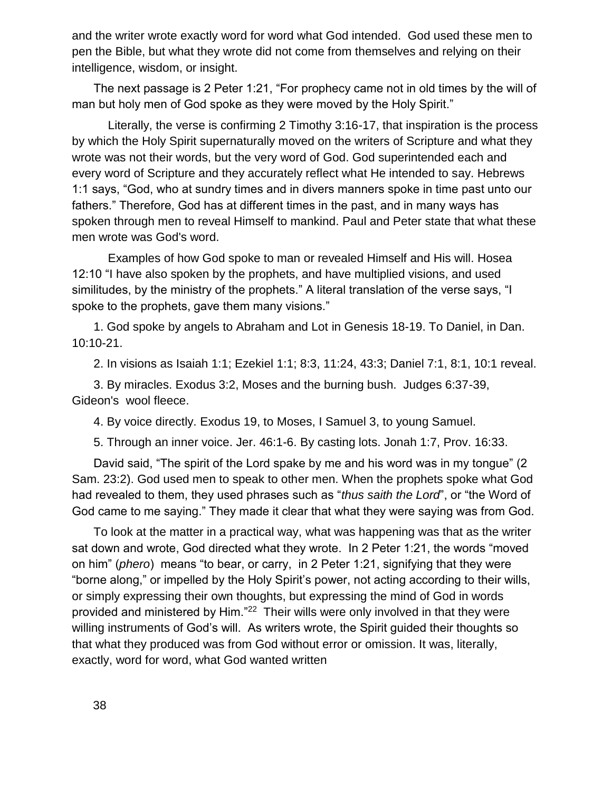and the writer wrote exactly word for word what God intended. God used these men to pen the Bible, but what they wrote did not come from themselves and relying on their intelligence, wisdom, or insight.

The next passage is 2 Peter 1:21, "For prophecy came not in old times by the will of man but holy men of God spoke as they were moved by the Holy Spirit."

Literally, the verse is confirming 2 Timothy 3:16-17, that inspiration is the process by which the Holy Spirit supernaturally moved on the writers of Scripture and what they wrote was not their words, but the very word of God. God superintended each and every word of Scripture and they accurately reflect what He intended to say. Hebrews 1:1 says, "God, who at sundry times and in divers manners spoke in time past unto our fathers." Therefore, God has at different times in the past, and in many ways has spoken through men to reveal Himself to mankind. Paul and Peter state that what these men wrote was God's word.

Examples of how God spoke to man or revealed Himself and His will. Hosea 12:10 "I have also spoken by the prophets, and have multiplied visions, and used similitudes, by the ministry of the prophets." A literal translation of the verse says, "I spoke to the prophets, gave them many visions."

1. God spoke by angels to Abraham and Lot in Genesis 18-19. To Daniel, in Dan. 10:10-21.

2. In visions as Isaiah 1:1; Ezekiel 1:1; 8:3, 11:24, 43:3; Daniel 7:1, 8:1, 10:1 reveal.

3. By miracles. Exodus 3:2, Moses and the burning bush. Judges 6:37-39, Gideon's wool fleece.

4. By voice directly. Exodus 19, to Moses, I Samuel 3, to young Samuel.

5. Through an inner voice. Jer. 46:1-6. By casting lots. Jonah 1:7, Prov. 16:33.

David said, "The spirit of the Lord spake by me and his word was in my tongue" (2 Sam. 23:2). God used men to speak to other men. When the prophets spoke what God had revealed to them, they used phrases such as "*thus saith the Lord*", or "the Word of God came to me saying." They made it clear that what they were saying was from God.

To look at the matter in a practical way, what was happening was that as the writer sat down and wrote, God directed what they wrote. In 2 Peter 1:21, the words "moved on him" (*phero*) means "to bear, or carry, in 2 Peter 1:21, signifying that they were "borne along," or impelled by the Holy Spirit's power, not acting according to their wills, or simply expressing their own thoughts, but expressing the mind of God in words provided and ministered by Him."<sup>22</sup> Their wills were only involved in that they were willing instruments of God's will. As writers wrote, the Spirit guided their thoughts so that what they produced was from God without error or omission. It was, literally, exactly, word for word, what God wanted written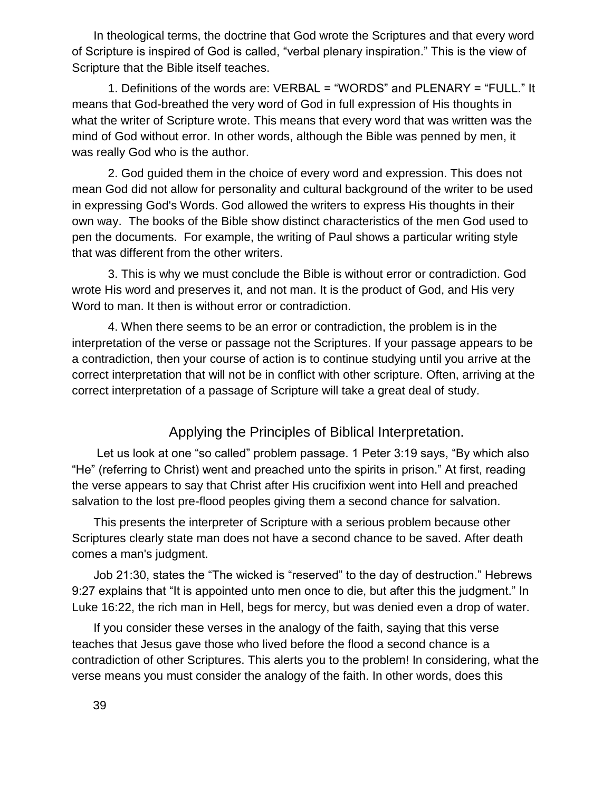In theological terms, the doctrine that God wrote the Scriptures and that every word of Scripture is inspired of God is called, "verbal plenary inspiration." This is the view of Scripture that the Bible itself teaches.

1. Definitions of the words are: VERBAL = "WORDS" and PLENARY = "FULL." It means that God-breathed the very word of God in full expression of His thoughts in what the writer of Scripture wrote. This means that every word that was written was the mind of God without error. In other words, although the Bible was penned by men, it was really God who is the author.

2. God guided them in the choice of every word and expression. This does not mean God did not allow for personality and cultural background of the writer to be used in expressing God's Words. God allowed the writers to express His thoughts in their own way. The books of the Bible show distinct characteristics of the men God used to pen the documents. For example, the writing of Paul shows a particular writing style that was different from the other writers.

3. This is why we must conclude the Bible is without error or contradiction. God wrote His word and preserves it, and not man. It is the product of God, and His very Word to man. It then is without error or contradiction.

4. When there seems to be an error or contradiction, the problem is in the interpretation of the verse or passage not the Scriptures. If your passage appears to be a contradiction, then your course of action is to continue studying until you arrive at the correct interpretation that will not be in conflict with other scripture. Often, arriving at the correct interpretation of a passage of Scripture will take a great deal of study.

# Applying the Principles of Biblical Interpretation.

Let us look at one "so called" problem passage. 1 Peter 3:19 says, "By which also "He" (referring to Christ) went and preached unto the spirits in prison." At first, reading the verse appears to say that Christ after His crucifixion went into Hell and preached salvation to the lost pre-flood peoples giving them a second chance for salvation.

This presents the interpreter of Scripture with a serious problem because other Scriptures clearly state man does not have a second chance to be saved. After death comes a man's judgment.

Job 21:30, states the "The wicked is "reserved" to the day of destruction." Hebrews 9:27 explains that "It is appointed unto men once to die, but after this the judgment." In Luke 16:22, the rich man in Hell, begs for mercy, but was denied even a drop of water.

If you consider these verses in the analogy of the faith, saying that this verse teaches that Jesus gave those who lived before the flood a second chance is a contradiction of other Scriptures. This alerts you to the problem! In considering, what the verse means you must consider the analogy of the faith. In other words, does this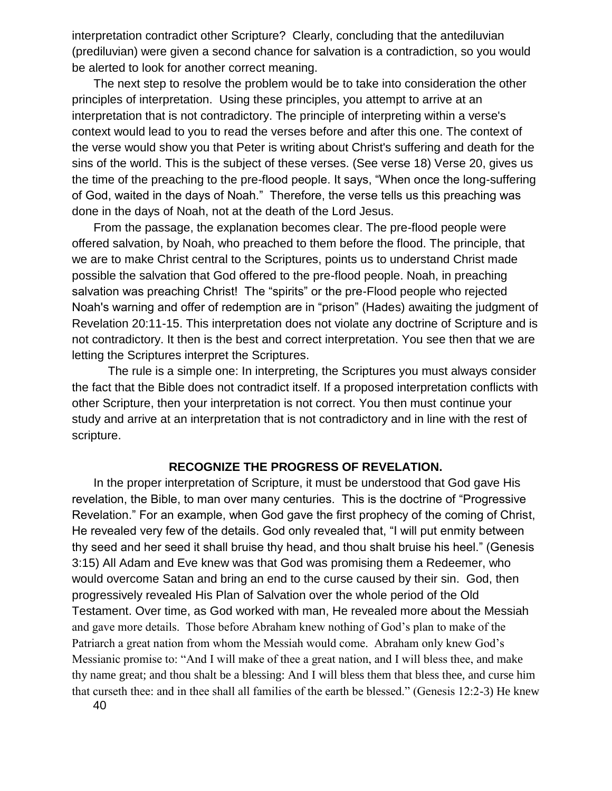interpretation contradict other Scripture? Clearly, concluding that the antediluvian (prediluvian) were given a second chance for salvation is a contradiction, so you would be alerted to look for another correct meaning.

The next step to resolve the problem would be to take into consideration the other principles of interpretation. Using these principles, you attempt to arrive at an interpretation that is not contradictory. The principle of interpreting within a verse's context would lead to you to read the verses before and after this one. The context of the verse would show you that Peter is writing about Christ's suffering and death for the sins of the world. This is the subject of these verses. (See verse 18) Verse 20, gives us the time of the preaching to the pre-flood people. It says, "When once the long-suffering of God, waited in the days of Noah." Therefore, the verse tells us this preaching was done in the days of Noah, not at the death of the Lord Jesus.

From the passage, the explanation becomes clear. The pre-flood people were offered salvation, by Noah, who preached to them before the flood. The principle, that we are to make Christ central to the Scriptures, points us to understand Christ made possible the salvation that God offered to the pre-flood people. Noah, in preaching salvation was preaching Christ! The "spirits" or the pre-Flood people who rejected Noah's warning and offer of redemption are in "prison" (Hades) awaiting the judgment of Revelation 20:11-15. This interpretation does not violate any doctrine of Scripture and is not contradictory. It then is the best and correct interpretation. You see then that we are letting the Scriptures interpret the Scriptures.

The rule is a simple one: In interpreting, the Scriptures you must always consider the fact that the Bible does not contradict itself. If a proposed interpretation conflicts with other Scripture, then your interpretation is not correct. You then must continue your study and arrive at an interpretation that is not contradictory and in line with the rest of scripture.

### **RECOGNIZE THE PROGRESS OF REVELATION.**

In the proper interpretation of Scripture, it must be understood that God gave His revelation, the Bible, to man over many centuries. This is the doctrine of "Progressive Revelation." For an example, when God gave the first prophecy of the coming of Christ, He revealed very few of the details. God only revealed that, "I will put enmity between thy seed and her seed it shall bruise thy head, and thou shalt bruise his heel." (Genesis 3:15) All Adam and Eve knew was that God was promising them a Redeemer, who would overcome Satan and bring an end to the curse caused by their sin. God, then progressively revealed His Plan of Salvation over the whole period of the Old Testament. Over time, as God worked with man, He revealed more about the Messiah and gave more details. Those before Abraham knew nothing of God's plan to make of the Patriarch a great nation from whom the Messiah would come. Abraham only knew God's Messianic promise to: "And I will make of thee a great nation, and I will bless thee, and make thy name great; and thou shalt be a blessing: And I will bless them that bless thee, and curse him that curseth thee: and in thee shall all families of the earth be blessed." (Genesis 12:2-3) He knew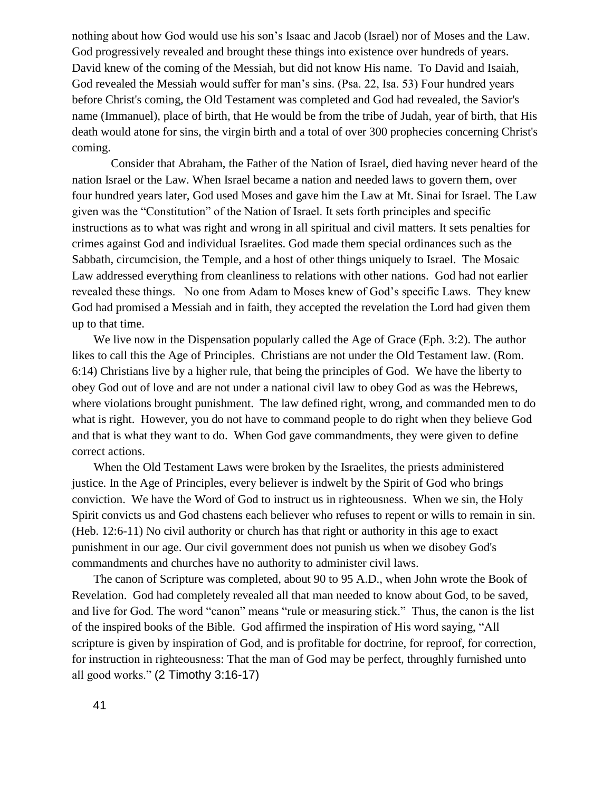nothing about how God would use his son's Isaac and Jacob (Israel) nor of Moses and the Law. God progressively revealed and brought these things into existence over hundreds of years. David knew of the coming of the Messiah, but did not know His name. To David and Isaiah, God revealed the Messiah would suffer for man's sins. (Psa. 22, Isa. 53) Four hundred years before Christ's coming, the Old Testament was completed and God had revealed, the Savior's name (Immanuel), place of birth, that He would be from the tribe of Judah, year of birth, that His death would atone for sins, the virgin birth and a total of over 300 prophecies concerning Christ's coming.

Consider that Abraham, the Father of the Nation of Israel, died having never heard of the nation Israel or the Law. When Israel became a nation and needed laws to govern them, over four hundred years later, God used Moses and gave him the Law at Mt. Sinai for Israel. The Law given was the "Constitution" of the Nation of Israel. It sets forth principles and specific instructions as to what was right and wrong in all spiritual and civil matters. It sets penalties for crimes against God and individual Israelites. God made them special ordinances such as the Sabbath, circumcision, the Temple, and a host of other things uniquely to Israel. The Mosaic Law addressed everything from cleanliness to relations with other nations. God had not earlier revealed these things. No one from Adam to Moses knew of God's specific Laws. They knew God had promised a Messiah and in faith, they accepted the revelation the Lord had given them up to that time.

We live now in the Dispensation popularly called the Age of Grace (Eph. 3:2). The author likes to call this the Age of Principles. Christians are not under the Old Testament law. (Rom. 6:14) Christians live by a higher rule, that being the principles of God. We have the liberty to obey God out of love and are not under a national civil law to obey God as was the Hebrews, where violations brought punishment. The law defined right, wrong, and commanded men to do what is right. However, you do not have to command people to do right when they believe God and that is what they want to do. When God gave commandments, they were given to define correct actions.

When the Old Testament Laws were broken by the Israelites, the priests administered justice. In the Age of Principles, every believer is indwelt by the Spirit of God who brings conviction. We have the Word of God to instruct us in righteousness. When we sin, the Holy Spirit convicts us and God chastens each believer who refuses to repent or wills to remain in sin. (Heb. 12:6-11) No civil authority or church has that right or authority in this age to exact punishment in our age. Our civil government does not punish us when we disobey God's commandments and churches have no authority to administer civil laws.

The canon of Scripture was completed, about 90 to 95 A.D., when John wrote the Book of Revelation. God had completely revealed all that man needed to know about God, to be saved, and live for God. The word "canon" means "rule or measuring stick." Thus, the canon is the list of the inspired books of the Bible. God affirmed the inspiration of His word saying, "All scripture is given by inspiration of God, and is profitable for doctrine, for reproof, for correction, for instruction in righteousness: That the man of God may be perfect, throughly furnished unto all good works." (2 Timothy 3:16-17)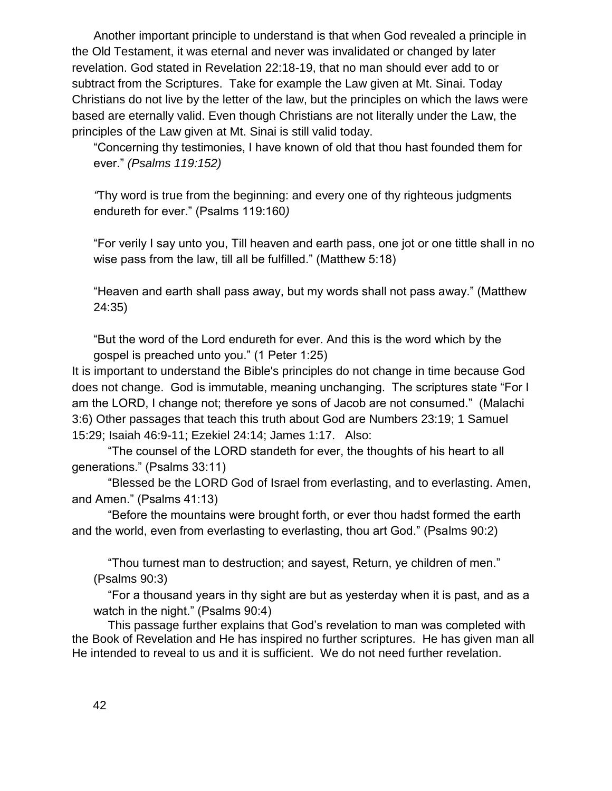Another important principle to understand is that when God revealed a principle in the Old Testament, it was eternal and never was invalidated or changed by later revelation. God stated in Revelation 22:18-19, that no man should ever add to or subtract from the Scriptures. Take for example the Law given at Mt. Sinai. Today Christians do not live by the letter of the law, but the principles on which the laws were based are eternally valid. Even though Christians are not literally under the Law, the principles of the Law given at Mt. Sinai is still valid today.

"Concerning thy testimonies, I have known of old that thou hast founded them for ever." *(Psalms 119:152)*

*"*Thy word is true from the beginning: and every one of thy righteous judgments endureth for ever." (Psalms 119:160*)*

"For verily I say unto you, Till heaven and earth pass, one jot or one tittle shall in no wise pass from the law, till all be fulfilled." (Matthew 5:18)

"Heaven and earth shall pass away, but my words shall not pass away." (Matthew 24:35)

"But the word of the Lord endureth for ever. And this is the word which by the gospel is preached unto you." (1 Peter 1:25)

It is important to understand the Bible's principles do not change in time because God does not change. God is immutable, meaning unchanging. The scriptures state "For I am the LORD, I change not; therefore ye sons of Jacob are not consumed." (Malachi 3:6) Other passages that teach this truth about God are Numbers 23:19; 1 Samuel 15:29; Isaiah 46:9-11; Ezekiel 24:14; James 1:17. Also:

"The counsel of the LORD standeth for ever, the thoughts of his heart to all generations." (Psalms 33:11)

"Blessed be the LORD God of Israel from everlasting, and to everlasting. Amen, and Amen." (Psalms 41:13)

"Before the mountains were brought forth, or ever thou hadst formed the earth and the world, even from everlasting to everlasting, thou art God." (Psalms 90:2)

"Thou turnest man to destruction; and sayest, Return, ye children of men." (Psalms 90:3)

"For a thousand years in thy sight are but as yesterday when it is past, and as a watch in the night." (Psalms 90:4)

This passage further explains that God's revelation to man was completed with the Book of Revelation and He has inspired no further scriptures. He has given man all He intended to reveal to us and it is sufficient. We do not need further revelation.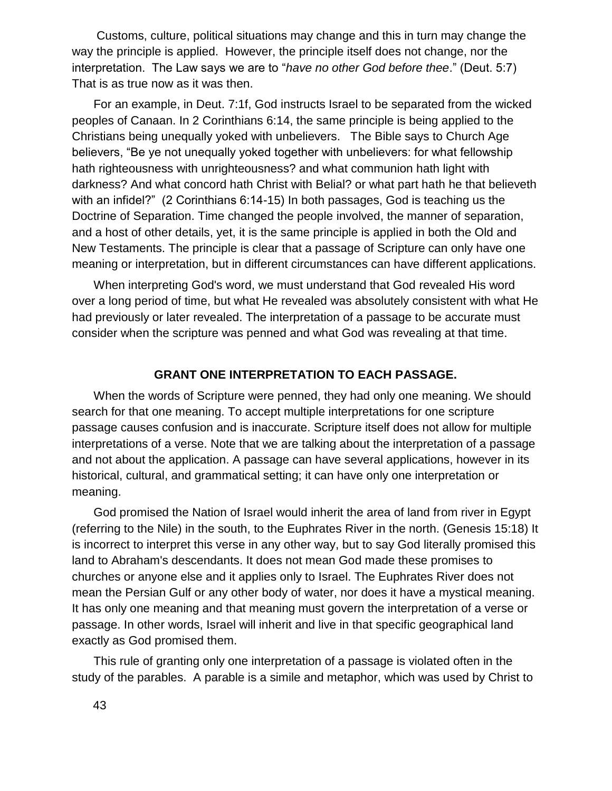Customs, culture, political situations may change and this in turn may change the way the principle is applied. However, the principle itself does not change, nor the interpretation. The Law says we are to "*have no other God before thee*." (Deut. 5:7) That is as true now as it was then.

For an example, in Deut. 7:1f, God instructs Israel to be separated from the wicked peoples of Canaan. In 2 Corinthians 6:14, the same principle is being applied to the Christians being unequally yoked with unbelievers. The Bible says to Church Age believers, "Be ye not unequally yoked together with unbelievers: for what fellowship hath righteousness with unrighteousness? and what communion hath light with darkness? And what concord hath Christ with Belial? or what part hath he that believeth with an infidel?" (2 Corinthians 6:14-15) In both passages, God is teaching us the Doctrine of Separation. Time changed the people involved, the manner of separation, and a host of other details, yet, it is the same principle is applied in both the Old and New Testaments. The principle is clear that a passage of Scripture can only have one meaning or interpretation, but in different circumstances can have different applications.

When interpreting God's word, we must understand that God revealed His word over a long period of time, but what He revealed was absolutely consistent with what He had previously or later revealed. The interpretation of a passage to be accurate must consider when the scripture was penned and what God was revealing at that time.

## **GRANT ONE INTERPRETATION TO EACH PASSAGE.**

When the words of Scripture were penned, they had only one meaning. We should search for that one meaning. To accept multiple interpretations for one scripture passage causes confusion and is inaccurate. Scripture itself does not allow for multiple interpretations of a verse. Note that we are talking about the interpretation of a passage and not about the application. A passage can have several applications, however in its historical, cultural, and grammatical setting; it can have only one interpretation or meaning.

God promised the Nation of Israel would inherit the area of land from river in Egypt (referring to the Nile) in the south, to the Euphrates River in the north. (Genesis 15:18) It is incorrect to interpret this verse in any other way, but to say God literally promised this land to Abraham's descendants. It does not mean God made these promises to churches or anyone else and it applies only to Israel. The Euphrates River does not mean the Persian Gulf or any other body of water, nor does it have a mystical meaning. It has only one meaning and that meaning must govern the interpretation of a verse or passage. In other words, Israel will inherit and live in that specific geographical land exactly as God promised them.

This rule of granting only one interpretation of a passage is violated often in the study of the parables. A parable is a simile and metaphor, which was used by Christ to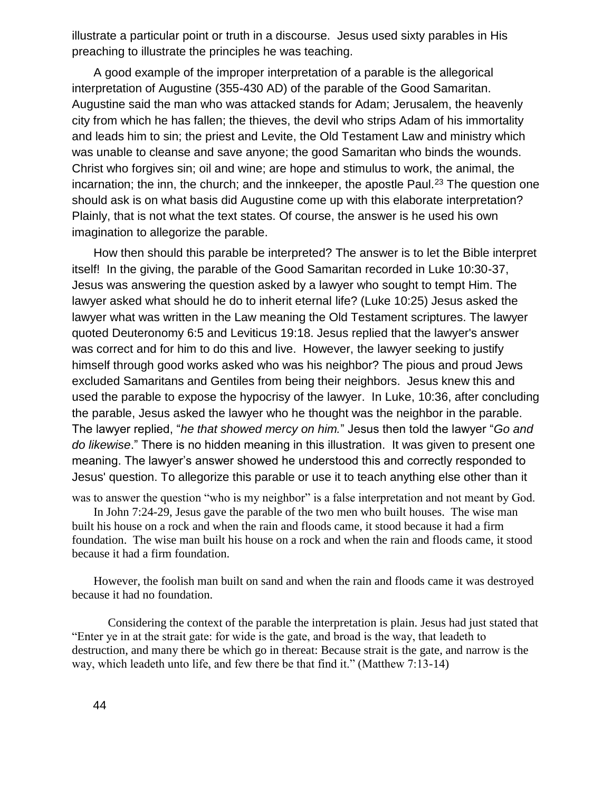illustrate a particular point or truth in a discourse. Jesus used sixty parables in His preaching to illustrate the principles he was teaching.

A good example of the improper interpretation of a parable is the allegorical interpretation of Augustine (355-430 AD) of the parable of the Good Samaritan. Augustine said the man who was attacked stands for Adam; Jerusalem, the heavenly city from which he has fallen; the thieves, the devil who strips Adam of his immortality and leads him to sin; the priest and Levite, the Old Testament Law and ministry which was unable to cleanse and save anyone; the good Samaritan who binds the wounds. Christ who forgives sin; oil and wine; are hope and stimulus to work, the animal, the incarnation; the inn, the church; and the innkeeper, the apostle Paul.<sup>23</sup> The question one should ask is on what basis did Augustine come up with this elaborate interpretation? Plainly, that is not what the text states. Of course, the answer is he used his own imagination to allegorize the parable.

How then should this parable be interpreted? The answer is to let the Bible interpret itself! In the giving, the parable of the Good Samaritan recorded in Luke 10:30-37, Jesus was answering the question asked by a lawyer who sought to tempt Him. The lawyer asked what should he do to inherit eternal life? (Luke 10:25) Jesus asked the lawyer what was written in the Law meaning the Old Testament scriptures. The lawyer quoted Deuteronomy 6:5 and Leviticus 19:18. Jesus replied that the lawyer's answer was correct and for him to do this and live. However, the lawyer seeking to justify himself through good works asked who was his neighbor? The pious and proud Jews excluded Samaritans and Gentiles from being their neighbors. Jesus knew this and used the parable to expose the hypocrisy of the lawyer. In Luke, 10:36, after concluding the parable, Jesus asked the lawyer who he thought was the neighbor in the parable. The lawyer replied, "*he that showed mercy on him.*" Jesus then told the lawyer "*Go and do likewise*." There is no hidden meaning in this illustration. It was given to present one meaning. The lawyer's answer showed he understood this and correctly responded to Jesus' question. To allegorize this parable or use it to teach anything else other than it

was to answer the question "who is my neighbor" is a false interpretation and not meant by God. In John 7:24-29, Jesus gave the parable of the two men who built houses. The wise man built his house on a rock and when the rain and floods came, it stood because it had a firm foundation. The wise man built his house on a rock and when the rain and floods came, it stood because it had a firm foundation.

However, the foolish man built on sand and when the rain and floods came it was destroyed because it had no foundation.

Considering the context of the parable the interpretation is plain. Jesus had just stated that "Enter ye in at the strait gate: for wide is the gate, and broad is the way, that leadeth to destruction, and many there be which go in thereat: Because strait is the gate, and narrow is the way, which leadeth unto life, and few there be that find it." (Matthew 7:13-14)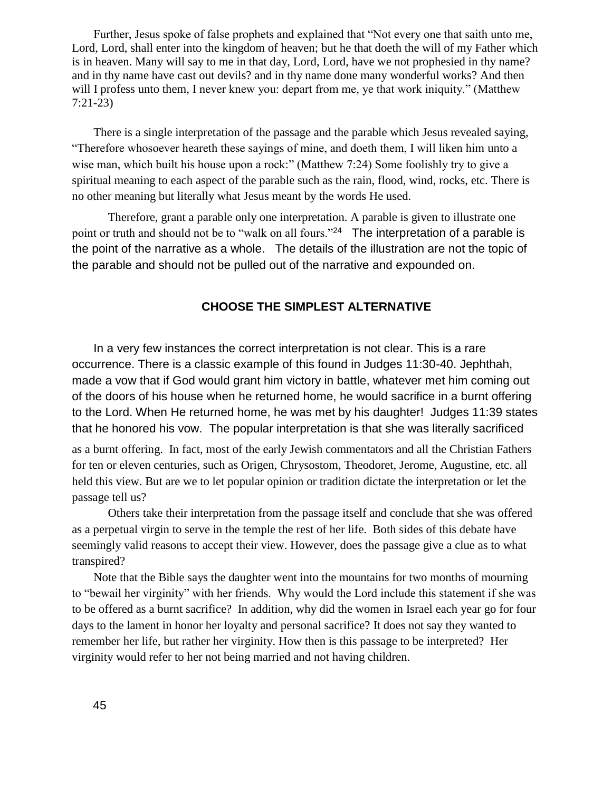Further, Jesus spoke of false prophets and explained that "Not every one that saith unto me, Lord, Lord, shall enter into the kingdom of heaven; but he that doeth the will of my Father which is in heaven. Many will say to me in that day, Lord, Lord, have we not prophesied in thy name? and in thy name have cast out devils? and in thy name done many wonderful works? And then will I profess unto them, I never knew you: depart from me, ye that work iniquity." (Matthew 7:21-23)

There is a single interpretation of the passage and the parable which Jesus revealed saying, "Therefore whosoever heareth these sayings of mine, and doeth them, I will liken him unto a wise man, which built his house upon a rock:" (Matthew 7:24) Some foolishly try to give a spiritual meaning to each aspect of the parable such as the rain, flood, wind, rocks, etc. There is no other meaning but literally what Jesus meant by the words He used.

Therefore, grant a parable only one interpretation. A parable is given to illustrate one point or truth and should not be to "walk on all fours."<sup>24</sup> The interpretation of a parable is the point of the narrative as a whole. The details of the illustration are not the topic of the parable and should not be pulled out of the narrative and expounded on.

#### **CHOOSE THE SIMPLEST ALTERNATIVE**

In a very few instances the correct interpretation is not clear. This is a rare occurrence. There is a classic example of this found in Judges 11:30-40. Jephthah, made a vow that if God would grant him victory in battle, whatever met him coming out of the doors of his house when he returned home, he would sacrifice in a burnt offering to the Lord. When He returned home, he was met by his daughter! Judges 11:39 states that he honored his vow. The popular interpretation is that she was literally sacrificed

as a burnt offering. In fact, most of the early Jewish commentators and all the Christian Fathers for ten or eleven centuries, such as Origen, Chrysostom, Theodoret, Jerome, Augustine, etc. all held this view. But are we to let popular opinion or tradition dictate the interpretation or let the passage tell us?

Others take their interpretation from the passage itself and conclude that she was offered as a perpetual virgin to serve in the temple the rest of her life. Both sides of this debate have seemingly valid reasons to accept their view. However, does the passage give a clue as to what transpired?

Note that the Bible says the daughter went into the mountains for two months of mourning to "bewail her virginity" with her friends. Why would the Lord include this statement if she was to be offered as a burnt sacrifice? In addition, why did the women in Israel each year go for four days to the lament in honor her loyalty and personal sacrifice? It does not say they wanted to remember her life, but rather her virginity. How then is this passage to be interpreted? Her virginity would refer to her not being married and not having children.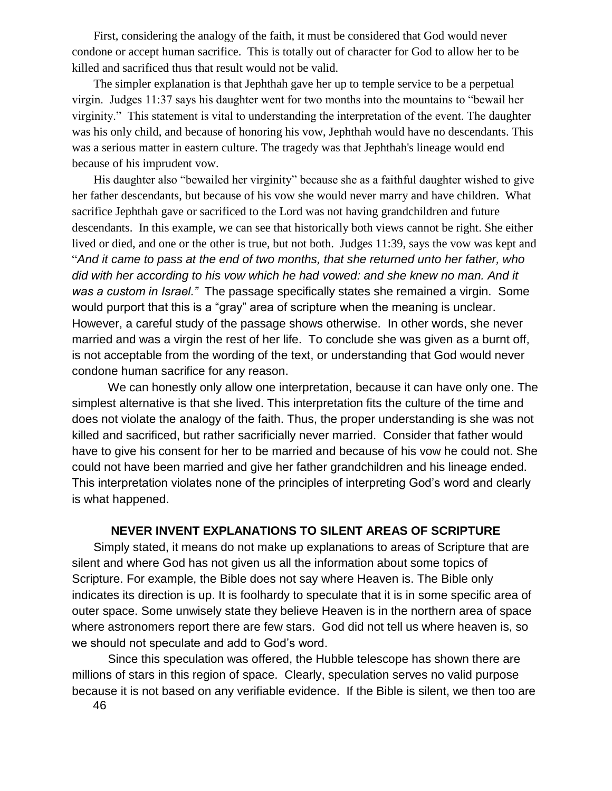First, considering the analogy of the faith, it must be considered that God would never condone or accept human sacrifice. This is totally out of character for God to allow her to be killed and sacrificed thus that result would not be valid.

The simpler explanation is that Jephthah gave her up to temple service to be a perpetual virgin. Judges 11:37 says his daughter went for two months into the mountains to "bewail her virginity." This statement is vital to understanding the interpretation of the event. The daughter was his only child, and because of honoring his vow, Jephthah would have no descendants. This was a serious matter in eastern culture. The tragedy was that Jephthah's lineage would end because of his imprudent vow.

His daughter also "bewailed her virginity" because she as a faithful daughter wished to give her father descendants, but because of his vow she would never marry and have children. What sacrifice Jephthah gave or sacrificed to the Lord was not having grandchildren and future descendants. In this example, we can see that historically both views cannot be right. She either lived or died, and one or the other is true, but not both. Judges 11:39, says the vow was kept and "*And it came to pass at the end of two months, that she returned unto her father, who did with her according to his vow which he had vowed: and she knew no man. And it was a custom in Israel."* The passage specifically states she remained a virgin. Some would purport that this is a "gray" area of scripture when the meaning is unclear. However, a careful study of the passage shows otherwise. In other words, she never married and was a virgin the rest of her life. To conclude she was given as a burnt off, is not acceptable from the wording of the text, or understanding that God would never condone human sacrifice for any reason.

We can honestly only allow one interpretation, because it can have only one. The simplest alternative is that she lived. This interpretation fits the culture of the time and does not violate the analogy of the faith. Thus, the proper understanding is she was not killed and sacrificed, but rather sacrificially never married. Consider that father would have to give his consent for her to be married and because of his vow he could not. She could not have been married and give her father grandchildren and his lineage ended. This interpretation violates none of the principles of interpreting God's word and clearly is what happened.

### **NEVER INVENT EXPLANATIONS TO SILENT AREAS OF SCRIPTURE**

Simply stated, it means do not make up explanations to areas of Scripture that are silent and where God has not given us all the information about some topics of Scripture. For example, the Bible does not say where Heaven is. The Bible only indicates its direction is up. It is foolhardy to speculate that it is in some specific area of outer space. Some unwisely state they believe Heaven is in the northern area of space where astronomers report there are few stars. God did not tell us where heaven is, so we should not speculate and add to God's word.

Since this speculation was offered, the Hubble telescope has shown there are millions of stars in this region of space. Clearly, speculation serves no valid purpose because it is not based on any verifiable evidence. If the Bible is silent, we then too are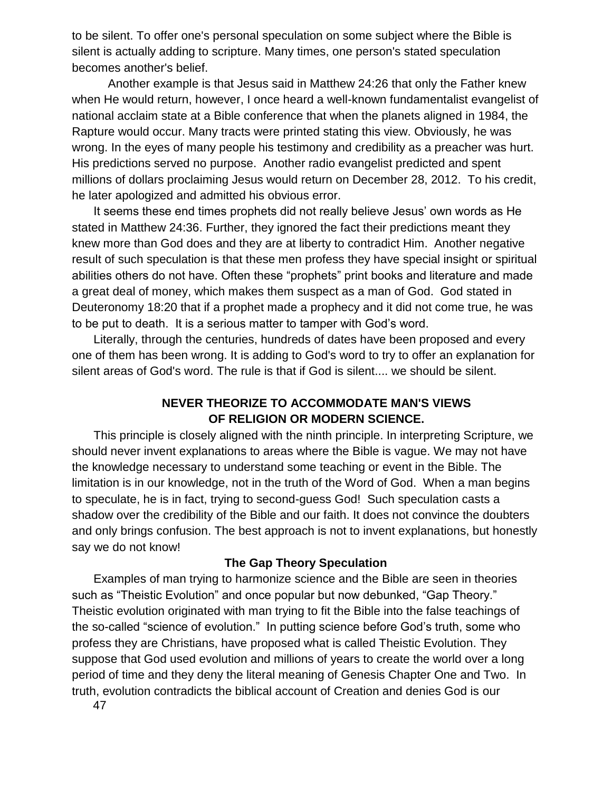to be silent. To offer one's personal speculation on some subject where the Bible is silent is actually adding to scripture. Many times, one person's stated speculation becomes another's belief.

Another example is that Jesus said in Matthew 24:26 that only the Father knew when He would return, however, I once heard a well-known fundamentalist evangelist of national acclaim state at a Bible conference that when the planets aligned in 1984, the Rapture would occur. Many tracts were printed stating this view. Obviously, he was wrong. In the eyes of many people his testimony and credibility as a preacher was hurt. His predictions served no purpose. Another radio evangelist predicted and spent millions of dollars proclaiming Jesus would return on December 28, 2012. To his credit, he later apologized and admitted his obvious error.

It seems these end times prophets did not really believe Jesus' own words as He stated in Matthew 24:36. Further, they ignored the fact their predictions meant they knew more than God does and they are at liberty to contradict Him. Another negative result of such speculation is that these men profess they have special insight or spiritual abilities others do not have. Often these "prophets" print books and literature and made a great deal of money, which makes them suspect as a man of God. God stated in Deuteronomy 18:20 that if a prophet made a prophecy and it did not come true, he was to be put to death. It is a serious matter to tamper with God's word.

Literally, through the centuries, hundreds of dates have been proposed and every one of them has been wrong. It is adding to God's word to try to offer an explanation for silent areas of God's word. The rule is that if God is silent.... we should be silent.

## **NEVER THEORIZE TO ACCOMMODATE MAN'S VIEWS OF RELIGION OR MODERN SCIENCE.**

This principle is closely aligned with the ninth principle. In interpreting Scripture, we should never invent explanations to areas where the Bible is vague. We may not have the knowledge necessary to understand some teaching or event in the Bible. The limitation is in our knowledge, not in the truth of the Word of God. When a man begins to speculate, he is in fact, trying to second-guess God! Such speculation casts a shadow over the credibility of the Bible and our faith. It does not convince the doubters and only brings confusion. The best approach is not to invent explanations, but honestly say we do not know!

## **The Gap Theory Speculation**

Examples of man trying to harmonize science and the Bible are seen in theories such as "Theistic Evolution" and once popular but now debunked, "Gap Theory." Theistic evolution originated with man trying to fit the Bible into the false teachings of the so-called "science of evolution." In putting science before God's truth, some who profess they are Christians, have proposed what is called Theistic Evolution. They suppose that God used evolution and millions of years to create the world over a long period of time and they deny the literal meaning of Genesis Chapter One and Two. In truth, evolution contradicts the biblical account of Creation and denies God is our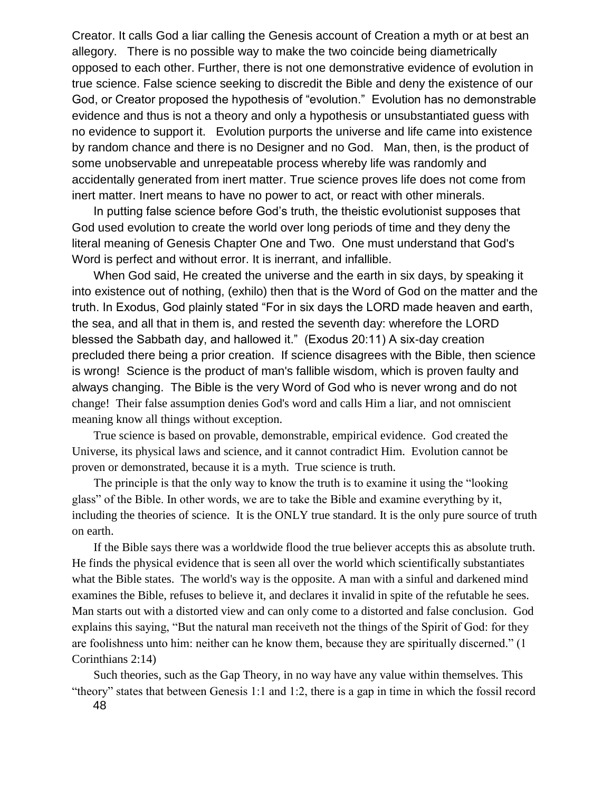Creator. It calls God a liar calling the Genesis account of Creation a myth or at best an allegory. There is no possible way to make the two coincide being diametrically opposed to each other. Further, there is not one demonstrative evidence of evolution in true science. False science seeking to discredit the Bible and deny the existence of our God, or Creator proposed the hypothesis of "evolution." Evolution has no demonstrable evidence and thus is not a theory and only a hypothesis or unsubstantiated guess with no evidence to support it. Evolution purports the universe and life came into existence by random chance and there is no Designer and no God. Man, then, is the product of some unobservable and unrepeatable process whereby life was randomly and accidentally generated from inert matter. True science proves life does not come from inert matter. Inert means to have no power to act, or react with other minerals.

In putting false science before God's truth, the theistic evolutionist supposes that God used evolution to create the world over long periods of time and they deny the literal meaning of Genesis Chapter One and Two. One must understand that God's Word is perfect and without error. It is inerrant, and infallible.

When God said, He created the universe and the earth in six days, by speaking it into existence out of nothing, (exhilo) then that is the Word of God on the matter and the truth. In Exodus, God plainly stated "For in six days the LORD made heaven and earth, the sea, and all that in them is, and rested the seventh day: wherefore the LORD blessed the Sabbath day, and hallowed it." (Exodus 20:11) A six-day creation precluded there being a prior creation. If science disagrees with the Bible, then science is wrong! Science is the product of man's fallible wisdom, which is proven faulty and always changing. The Bible is the very Word of God who is never wrong and do not change! Their false assumption denies God's word and calls Him a liar, and not omniscient meaning know all things without exception.

True science is based on provable, demonstrable, empirical evidence. God created the Universe, its physical laws and science, and it cannot contradict Him. Evolution cannot be proven or demonstrated, because it is a myth. True science is truth.

The principle is that the only way to know the truth is to examine it using the "looking glass" of the Bible. In other words, we are to take the Bible and examine everything by it, including the theories of science. It is the ONLY true standard. It is the only pure source of truth on earth.

If the Bible says there was a worldwide flood the true believer accepts this as absolute truth. He finds the physical evidence that is seen all over the world which scientifically substantiates what the Bible states. The world's way is the opposite. A man with a sinful and darkened mind examines the Bible, refuses to believe it, and declares it invalid in spite of the refutable he sees. Man starts out with a distorted view and can only come to a distorted and false conclusion. God explains this saying, "But the natural man receiveth not the things of the Spirit of God: for they are foolishness unto him: neither can he know them, because they are spiritually discerned." (1 Corinthians 2:14)

48 Such theories, such as the Gap Theory, in no way have any value within themselves. This "theory" states that between Genesis 1:1 and 1:2, there is a gap in time in which the fossil record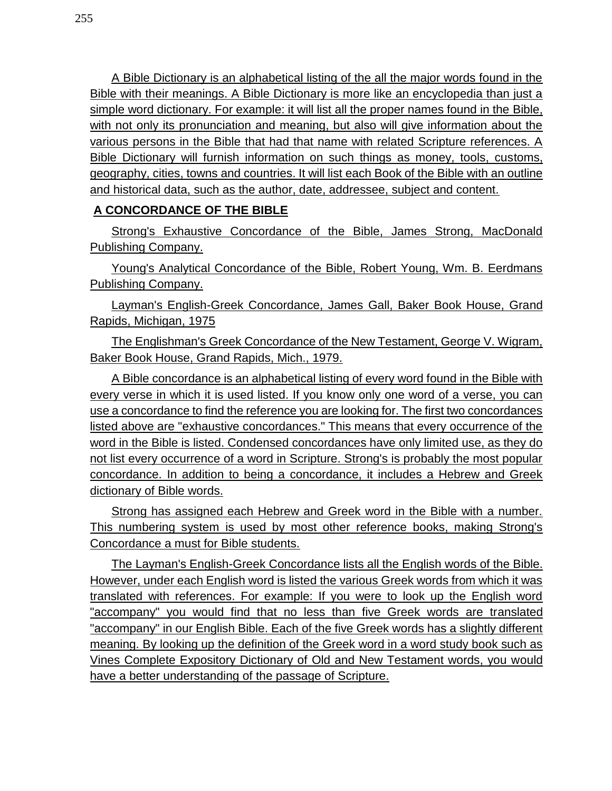A Bible Dictionary is an alphabetical listing of the all the major words found in the Bible with their meanings. A Bible Dictionary is more like an encyclopedia than just a simple word dictionary. For example: it will list all the proper names found in the Bible, with not only its pronunciation and meaning, but also will give information about the various persons in the Bible that had that name with related Scripture references. A Bible Dictionary will furnish information on such things as money, tools, customs, geography, cities, towns and countries. It will list each Book of the Bible with an outline and historical data, such as the author, date, addressee, subject and content.

## **A CONCORDANCE OF THE BIBLE**

Strong's Exhaustive Concordance of the Bible, James Strong, MacDonald Publishing Company.

Young's Analytical Concordance of the Bible, Robert Young, Wm. B. Eerdmans Publishing Company.

Layman's English-Greek Concordance, James Gall, Baker Book House, Grand Rapids, Michigan, 1975

The Englishman's Greek Concordance of the New Testament, George V. Wigram, Baker Book House, Grand Rapids, Mich., 1979.

A Bible concordance is an alphabetical listing of every word found in the Bible with every verse in which it is used listed. If you know only one word of a verse, you can use a concordance to find the reference you are looking for. The first two concordances listed above are "exhaustive concordances." This means that every occurrence of the word in the Bible is listed. Condensed concordances have only limited use, as they do not list every occurrence of a word in Scripture. Strong's is probably the most popular concordance. In addition to being a concordance, it includes a Hebrew and Greek dictionary of Bible words.

Strong has assigned each Hebrew and Greek word in the Bible with a number. This numbering system is used by most other reference books, making Strong's Concordance a must for Bible students.

The Layman's English-Greek Concordance lists all the English words of the Bible. However, under each English word is listed the various Greek words from which it was translated with references. For example: If you were to look up the English word "accompany" you would find that no less than five Greek words are translated "accompany" in our English Bible. Each of the five Greek words has a slightly different meaning. By looking up the definition of the Greek word in a word study book such as Vines Complete Expository Dictionary of Old and New Testament words, you would have a better understanding of the passage of Scripture.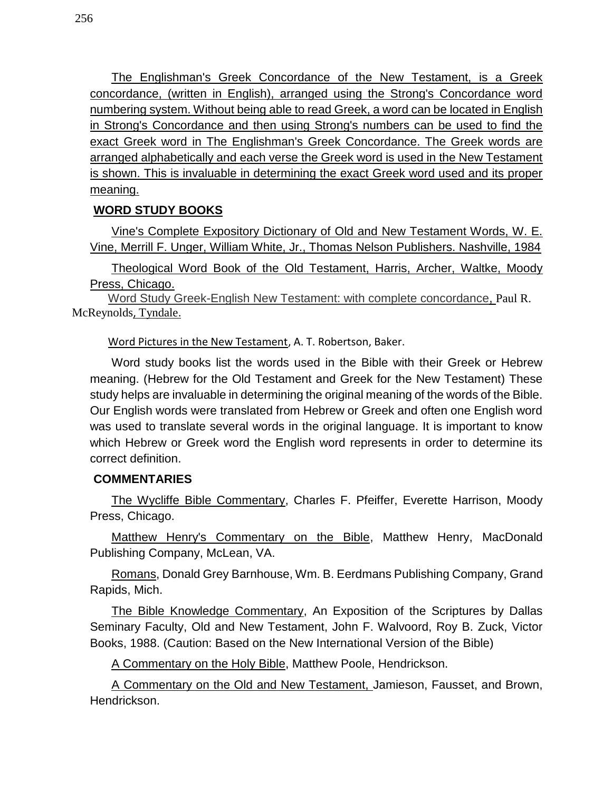The Englishman's Greek Concordance of the New Testament, is a Greek concordance, (written in English), arranged using the Strong's Concordance word numbering system. Without being able to read Greek, a word can be located in English in Strong's Concordance and then using Strong's numbers can be used to find the exact Greek word in The Englishman's Greek Concordance. The Greek words are arranged alphabetically and each verse the Greek word is used in the New Testament is shown. This is invaluable in determining the exact Greek word used and its proper meaning.

# **WORD STUDY BOOKS**

Vine's Complete Expository Dictionary of Old and New Testament Words, W. E. Vine, Merrill F. Unger, William White, Jr., Thomas Nelson Publishers. Nashville, 1984

Theological Word Book of the Old Testament, Harris, Archer, Waltke, Moody Press, Chicago.

Word Study Greek-English New Testament: with complete concordance, [Paul R.](http://www.amazon.com/Paul-R.-McReynolds/e/B00J406JOS/ref=dp_byline_cont_book_1)  [McReynolds](http://www.amazon.com/Paul-R.-McReynolds/e/B00J406JOS/ref=dp_byline_cont_book_1), [Tyndale](http://www.amazon.com/s/ref=dp_byline_sr_book_2?ie=UTF8&field-author=Tyndale&search-alias=books&text=Tyndale&sort=relevancerank).

Word Pictures in the New Testament, A. T. Robertson, Baker.

Word study books list the words used in the Bible with their Greek or Hebrew meaning. (Hebrew for the Old Testament and Greek for the New Testament) These study helps are invaluable in determining the original meaning of the words of the Bible. Our English words were translated from Hebrew or Greek and often one English word was used to translate several words in the original language. It is important to know which Hebrew or Greek word the English word represents in order to determine its correct definition.

## **COMMENTARIES**

The Wycliffe Bible Commentary, Charles F. Pfeiffer, Everette Harrison, Moody Press, Chicago.

Matthew Henry's Commentary on the Bible, Matthew Henry, MacDonald Publishing Company, McLean, VA.

Romans, Donald Grey Barnhouse, Wm. B. Eerdmans Publishing Company, Grand Rapids, Mich.

The Bible Knowledge Commentary, An Exposition of the Scriptures by Dallas Seminary Faculty, Old and New Testament, John F. Walvoord, Roy B. Zuck, Victor Books, 1988. (Caution: Based on the New International Version of the Bible)

A Commentary on the Holy Bible, Matthew Poole, Hendrickson.

A Commentary on the Old and New Testament, Jamieson, Fausset, and Brown, Hendrickson.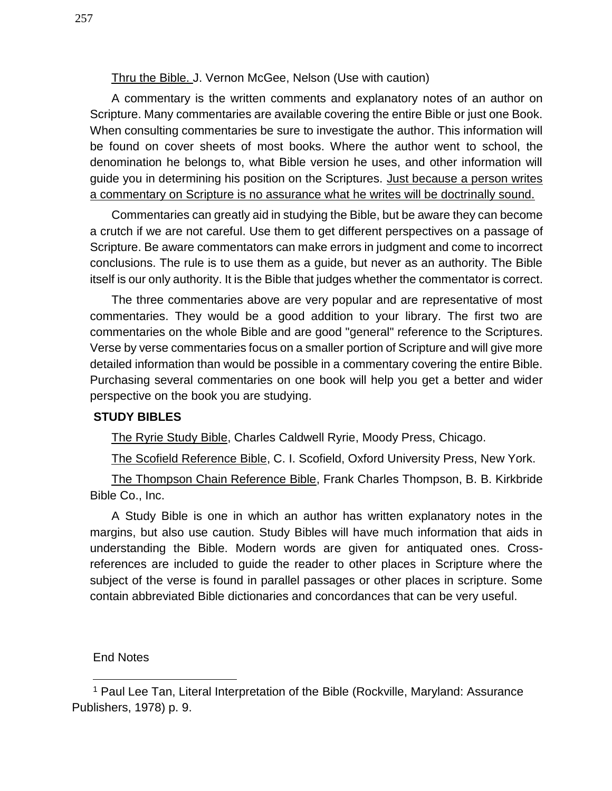Thru the Bible. J. Vernon McGee, Nelson (Use with caution)

A commentary is the written comments and explanatory notes of an author on Scripture. Many commentaries are available covering the entire Bible or just one Book. When consulting commentaries be sure to investigate the author. This information will be found on cover sheets of most books. Where the author went to school, the denomination he belongs to, what Bible version he uses, and other information will guide you in determining his position on the Scriptures. Just because a person writes a commentary on Scripture is no assurance what he writes will be doctrinally sound.

Commentaries can greatly aid in studying the Bible, but be aware they can become a crutch if we are not careful. Use them to get different perspectives on a passage of Scripture. Be aware commentators can make errors in judgment and come to incorrect conclusions. The rule is to use them as a guide, but never as an authority. The Bible itself is our only authority. It is the Bible that judges whether the commentator is correct.

The three commentaries above are very popular and are representative of most commentaries. They would be a good addition to your library. The first two are commentaries on the whole Bible and are good "general" reference to the Scriptures. Verse by verse commentaries focus on a smaller portion of Scripture and will give more detailed information than would be possible in a commentary covering the entire Bible. Purchasing several commentaries on one book will help you get a better and wider perspective on the book you are studying.

## **STUDY BIBLES**

The Ryrie Study Bible, Charles Caldwell Ryrie, Moody Press, Chicago.

The Scofield Reference Bible, C. I. Scofield, Oxford University Press, New York.

The Thompson Chain Reference Bible, Frank Charles Thompson, B. B. Kirkbride Bible Co., Inc.

A Study Bible is one in which an author has written explanatory notes in the margins, but also use caution. Study Bibles will have much information that aids in understanding the Bible. Modern words are given for antiquated ones. Crossreferences are included to guide the reader to other places in Scripture where the subject of the verse is found in parallel passages or other places in scripture. Some contain abbreviated Bible dictionaries and concordances that can be very useful.

### End Notes

l

<sup>1</sup> Paul Lee Tan, Literal Interpretation of the Bible (Rockville, Maryland: Assurance Publishers, 1978) p. 9.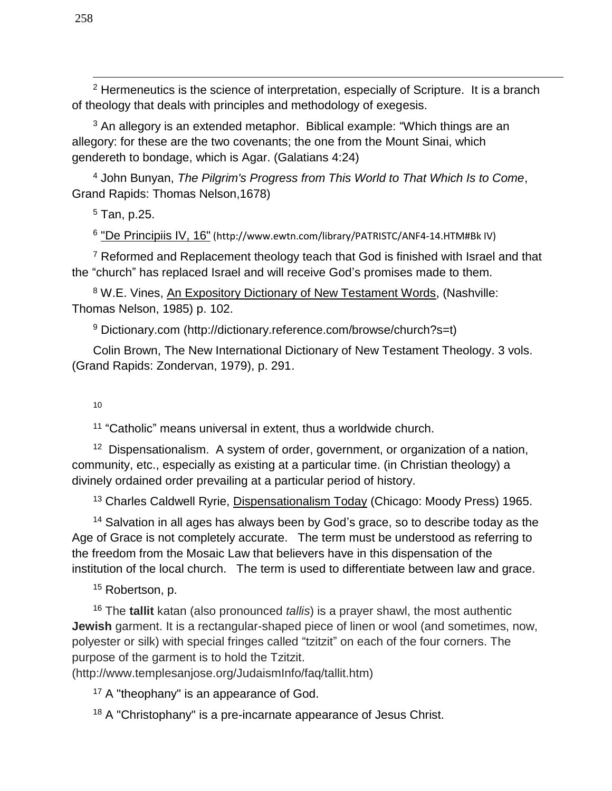<sup>2</sup> Hermeneutics is the science of interpretation, especially of Scripture. It is a branch of theology that deals with principles and methodology of exegesis.

<sup>3</sup> An allegory is an extended metaphor. Biblical example: "Which things are an allegory: for these are the two covenants; the one from the Mount Sinai, which gendereth to bondage, which is Agar. (Galatians 4:24)

<sup>4</sup> John Bunyan, *The Pilgrim's Progress from This World to That Which Is to Come*, Grand Rapids: Thomas Nelson,1678)

 $5$  Tan, p.25.

<sup>6</sup> ["De Principiis IV, 16"](http://www.newadvent.org/fathers/04124.htm) (http://www.ewtn.com/library/PATRISTC/ANF4-14.HTM#Bk IV)

 $7$  Reformed and Replacement theology teach that God is finished with Israel and that the "church" has replaced Israel and will receive God's promises made to them.

<sup>8</sup> W.E. Vines, An Expository Dictionary of New Testament Words, (Nashville: Thomas Nelson, 1985) p. 102.

<sup>9</sup> Dictionary.com (http://dictionary.reference.com/browse/church?s=t)

Colin Brown, The New International Dictionary of New Testament Theology. 3 vols. (Grand Rapids: Zondervan, 1979), p. 291.

10

11 "Catholic" means universal in extent, thus a worldwide church.

<sup>12</sup> Dispensationalism. A system of order, government, or organization of a nation, community, etc., especially as existing at a particular time. (in Christian theology) a divinely ordained order prevailing at a particular period of history.

<sup>13</sup> Charles Caldwell Ryrie, Dispensationalism Today (Chicago: Moody Press) 1965.

<sup>14</sup> Salvation in all ages has always been by God's grace, so to describe today as the Age of Grace is not completely accurate. The term must be understood as referring to the freedom from the Mosaic Law that believers have in this dispensation of the institution of the local church. The term is used to differentiate between law and grace.

<sup>15</sup> Robertson, p.

<sup>16</sup> The **tallit** katan (also pronounced *tallis*) is a prayer shawl, the most authentic **Jewish** garment. It is a rectangular-shaped piece of linen or wool (and sometimes, now, polyester or silk) with special fringes called "tzitzit" on each of the four corners. The purpose of the garment is to hold the Tzitzit.

(http://www.templesanjose.org/JudaismInfo/faq/tallit.htm)

 $17$  A "theophany" is an appearance of God.

<sup>18</sup> A "Christophany" is a pre-incarnate appearance of Jesus Christ.

l